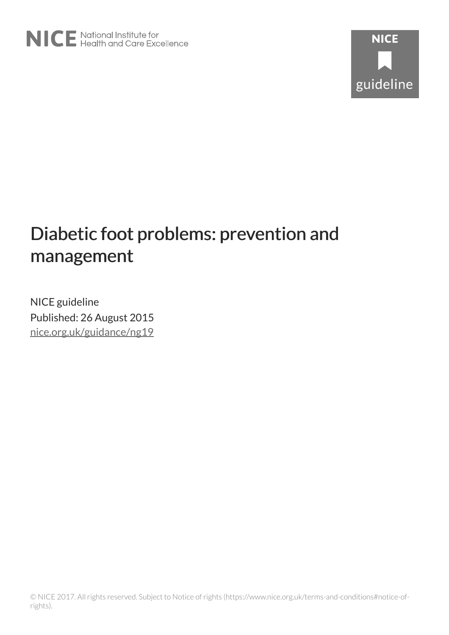# Diabetic foot problems: prevention and management

NICE guideline Published: 26 August 2015 [nice.org.uk/guidance/ng19](http://nice.org.uk/guidance/ng19)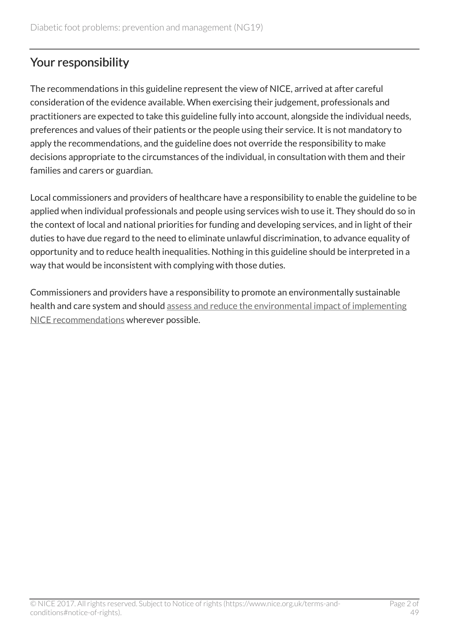# Your responsibility

The recommendations in this guideline represent the view of NICE, arrived at after careful consideration of the evidence available. When exercising their judgement, professionals and practitioners are expected to take this guideline fully into account, alongside the individual needs, preferences and values of their patients or the people using their service. It is not mandatory to apply the recommendations, and the guideline does not override the responsibility to make decisions appropriate to the circumstances of the individual, in consultation with them and their families and carers or guardian.

Local commissioners and providers of healthcare have a responsibility to enable the guideline to be applied when individual professionals and people using services wish to use it. They should do so in the context of local and national priorities for funding and developing services, and in light of their duties to have due regard to the need to eliminate unlawful discrimination, to advance equality of opportunity and to reduce health inequalities. Nothing in this guideline should be interpreted in a way that would be inconsistent with complying with those duties.

Commissioners and providers have a responsibility to promote an environmentally sustainable health and care system and should [assess and reduce the environmental impact of implementing](https://www.nice.org.uk/about/who-we-are/sustainability) [NICE recommendations](https://www.nice.org.uk/about/who-we-are/sustainability) wherever possible.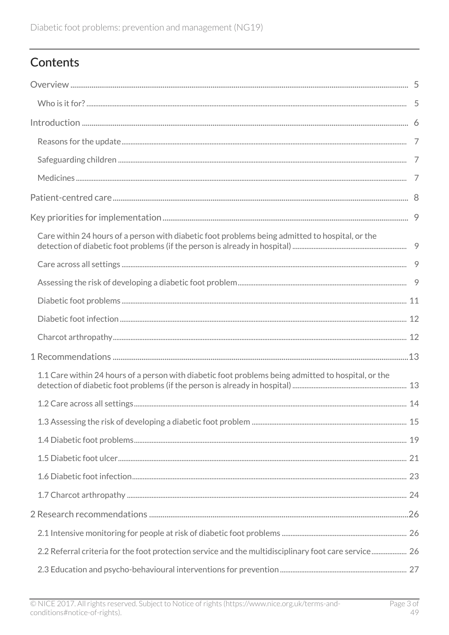# Contents

| Care within 24 hours of a person with diabetic foot problems being admitted to hospital, or the      |  |
|------------------------------------------------------------------------------------------------------|--|
|                                                                                                      |  |
|                                                                                                      |  |
|                                                                                                      |  |
|                                                                                                      |  |
|                                                                                                      |  |
|                                                                                                      |  |
| 1.1 Care within 24 hours of a person with diabetic foot problems being admitted to hospital, or the  |  |
|                                                                                                      |  |
|                                                                                                      |  |
|                                                                                                      |  |
|                                                                                                      |  |
|                                                                                                      |  |
|                                                                                                      |  |
|                                                                                                      |  |
|                                                                                                      |  |
| 2.2 Referral criteria for the foot protection service and the multidisciplinary foot care service 26 |  |
|                                                                                                      |  |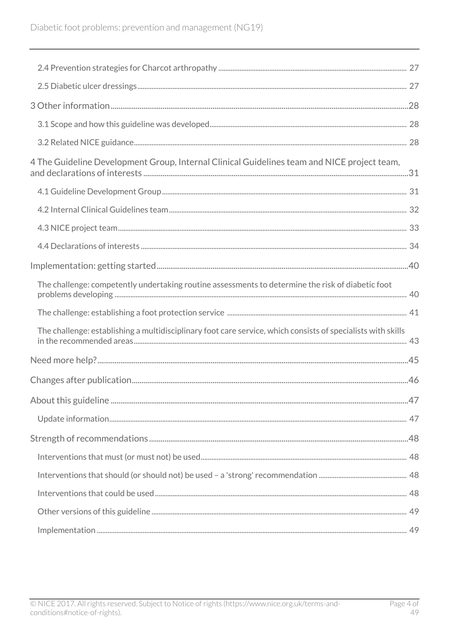| 4 The Guideline Development Group, Internal Clinical Guidelines team and NICE project team,                  |  |
|--------------------------------------------------------------------------------------------------------------|--|
|                                                                                                              |  |
|                                                                                                              |  |
|                                                                                                              |  |
|                                                                                                              |  |
|                                                                                                              |  |
| The challenge: competently undertaking routine assessments to determine the risk of diabetic foot            |  |
|                                                                                                              |  |
| The challenge: establishing a multidisciplinary foot care service, which consists of specialists with skills |  |
|                                                                                                              |  |
|                                                                                                              |  |
|                                                                                                              |  |
|                                                                                                              |  |
|                                                                                                              |  |
|                                                                                                              |  |
|                                                                                                              |  |
|                                                                                                              |  |
|                                                                                                              |  |
|                                                                                                              |  |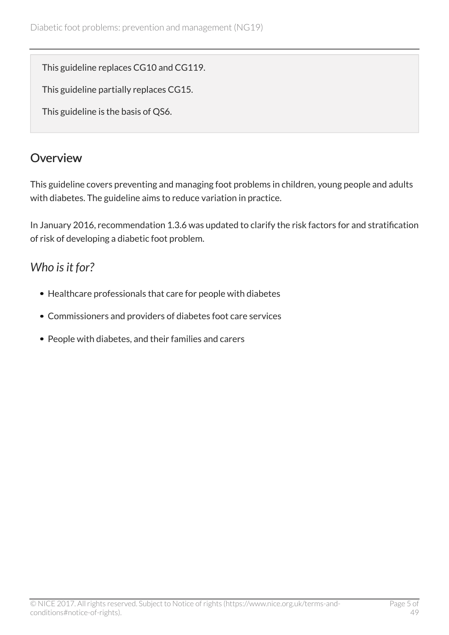This guideline replaces CG10 and CG119.

This guideline partially replaces CG15.

This guideline is the basis of QS6.

# <span id="page-4-0"></span>**Overview**

This guideline covers preventing and managing foot problems in children, young people and adults with diabetes. The guideline aims to reduce variation in practice.

In January 2016, recommendation 1.3.6 was updated to clarify the risk factors for and stratification of risk of developing a diabetic foot problem.

# <span id="page-4-1"></span>*Who is it for?*

- Healthcare professionals that care for people with diabetes
- Commissioners and providers of diabetes foot care services
- People with diabetes, and their families and carers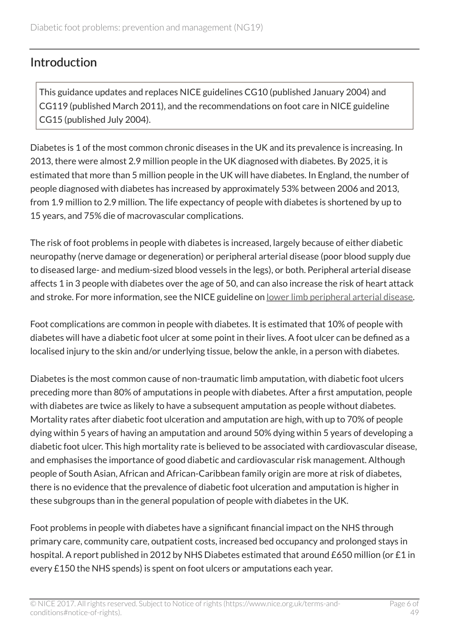### <span id="page-5-0"></span>**Introduction**

This guidance updates and replaces NICE guidelines CG10 (published January 2004) and CG119 (published March 2011), and the recommendations on foot care in NICE guideline CG15 (published July 2004).

Diabetes is 1 of the most common chronic diseases in the UK and its prevalence is increasing. In 2013, there were almost 2.9 million people in the UK diagnosed with diabetes. By 2025, it is estimated that more than 5 million people in the UK will have diabetes. In England, the number of people diagnosed with diabetes has increased by approximately 53% between 2006 and 2013, from 1.9 million to 2.9 million. The life expectancy of people with diabetes is shortened by up to 15 years, and 75% die of macrovascular complications.

The risk of foot problems in people with diabetes is increased, largely because of either diabetic neuropathy (nerve damage or degeneration) or peripheral arterial disease (poor blood supply due to diseased large- and medium-sized blood vessels in the legs), or both. Peripheral arterial disease affects 1 in 3 people with diabetes over the age of 50, and can also increase the risk of heart attack and stroke. For more information, see the NICE guideline on [lower limb peripheral arterial disease](http://www.nice.org.uk/guidance/cg147).

Foot complications are common in people with diabetes. It is estimated that 10% of people with diabetes will have a diabetic foot ulcer at some point in their lives. A foot ulcer can be defined as a localised injury to the skin and/or underlying tissue, below the ankle, in a person with diabetes.

Diabetes is the most common cause of non-traumatic limb amputation, with diabetic foot ulcers preceding more than 80% of amputations in people with diabetes. After a first amputation, people with diabetes are twice as likely to have a subsequent amputation as people without diabetes. Mortality rates after diabetic foot ulceration and amputation are high, with up to 70% of people dying within 5 years of having an amputation and around 50% dying within 5 years of developing a diabetic foot ulcer. This high mortality rate is believed to be associated with cardiovascular disease, and emphasises the importance of good diabetic and cardiovascular risk management. Although people of South Asian, African and African-Caribbean family origin are more at risk of diabetes, there is no evidence that the prevalence of diabetic foot ulceration and amputation is higher in these subgroups than in the general population of people with diabetes in the UK.

Foot problems in people with diabetes have a significant financial impact on the NHS through primary care, community care, outpatient costs, increased bed occupancy and prolonged stays in hospital. A report published in 2012 by NHS Diabetes estimated that around £650 million (or £1 in every £150 the NHS spends) is spent on foot ulcers or amputations each year.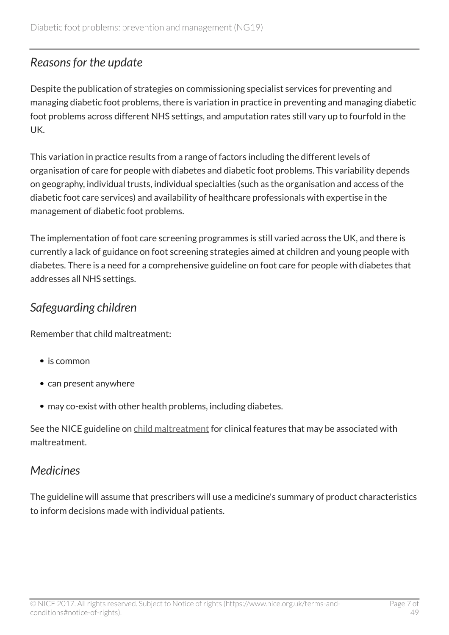### <span id="page-6-0"></span>*Reasons for the update*

Despite the publication of strategies on commissioning specialist services for preventing and managing diabetic foot problems, there is variation in practice in preventing and managing diabetic foot problems across different NHS settings, and amputation rates still vary up to fourfold in the UK.

This variation in practice results from a range of factors including the different levels of organisation of care for people with diabetes and diabetic foot problems. This variability depends on geography, individual trusts, individual specialties (such as the organisation and access of the diabetic foot care services) and availability of healthcare professionals with expertise in the management of diabetic foot problems.

The implementation of foot care screening programmes is still varied across the UK, and there is currently a lack of guidance on foot screening strategies aimed at children and young people with diabetes. There is a need for a comprehensive guideline on foot care for people with diabetes that addresses all NHS settings.

# <span id="page-6-1"></span>*Safeguarding children*

Remember that child maltreatment:

- is common
- can present anywhere
- may co-exist with other health problems, including diabetes.

See the NICE guideline on [child maltreatment](http://www.nice.org.uk/guidance/cg89) for clinical features that may be associated with maltreatment.

# <span id="page-6-2"></span>*Medicines*

The guideline will assume that prescribers will use a medicine's summary of product characteristics to inform decisions made with individual patients.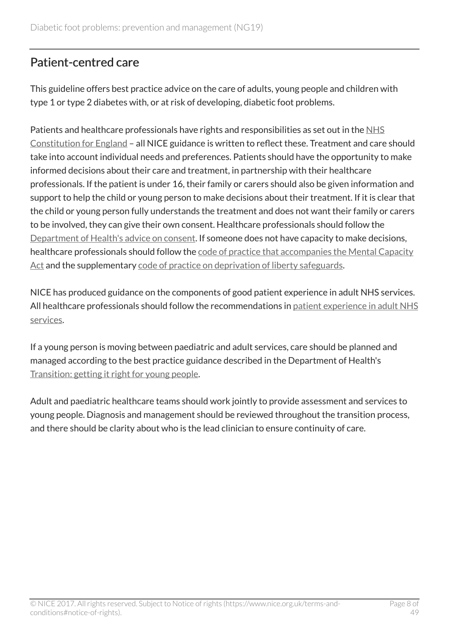# <span id="page-7-0"></span>Patient-centred care

This guideline offers best practice advice on the care of adults, young people and children with type 1 or type 2 diabetes with, or at risk of developing, diabetic foot problems.

Patients and healthcare professionals have rights and responsibilities as set out in the [NHS](https://www.gov.uk/government/publications/the-nhs-constitution-for-england) [Constitution for England](https://www.gov.uk/government/publications/the-nhs-constitution-for-england) – all NICE guidance is written to reflect these. Treatment and care should take into account individual needs and preferences. Patients should have the opportunity to make informed decisions about their care and treatment, in partnership with their healthcare professionals. If the patient is under 16, their family or carers should also be given information and support to help the child or young person to make decisions about their treatment. If it is clear that the child or young person fully understands the treatment and does not want their family or carers to be involved, they can give their own consent. Healthcare professionals should follow the [Department of Health's advice on consent.](https://www.gov.uk/government/publications/reference-guide-to-consent-for-examination-or-treatment-second-edition) If someone does not have capacity to make decisions, healthcare professionals should follow the [code of practice that accompanies the Mental Capacity](http://www.justice.gov.uk/protecting-the-vulnerable/mental-capacity-act) [Act](http://www.justice.gov.uk/protecting-the-vulnerable/mental-capacity-act) and the supplementary [code of practice on deprivation of liberty safeguards](http://webarchive.nationalarchives.gov.uk/20130107105354/http:/www.dh.gov.uk/en/Publicationsandstatistics/Publications/PublicationsPolicyAndGuidance/DH_085476).

NICE has produced guidance on the components of good patient experience in adult NHS services. All healthcare professionals should follow the recommendations in [patient experience in adult NHS](http://www.nice.org.uk/guidance/cg138) [services.](http://www.nice.org.uk/guidance/cg138)

If a young person is moving between paediatric and adult services, care should be planned and managed according to the best practice guidance described in the Department of Health's [Transition: getting it right for young people.](http://webarchive.nationalarchives.gov.uk/20130107105354/http:/www.dh.gov.uk/en/Publicationsandstatistics/Publications/PublicationsPolicyAndGuidance/DH_4132145)

Adult and paediatric healthcare teams should work jointly to provide assessment and services to young people. Diagnosis and management should be reviewed throughout the transition process, and there should be clarity about who is the lead clinician to ensure continuity of care.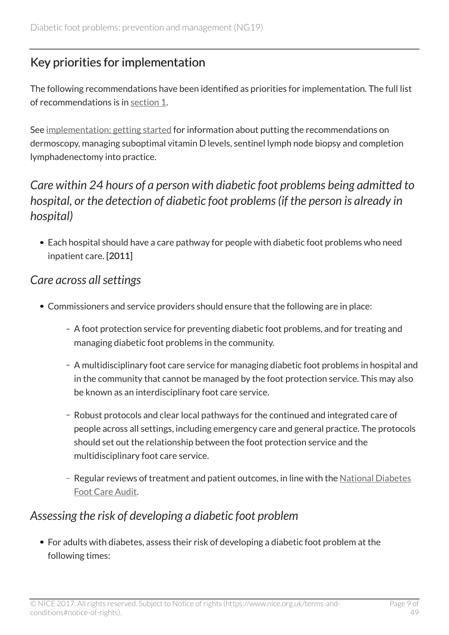# <span id="page-8-0"></span>Key priorities for implementation

The following recommendations have been identified as priorities for implementation. The full list of recommendations is in [section](http://live-publications.nice.org.uk/recommendations#recommendations) 1.

See [implementation: getting started](http://live-publications.nice.org.uk/implementation-getting-started#implementation-getting-started) for information about putting the recommendations on dermoscopy, managing suboptimal vitamin D levels, sentinel lymph node biopsy and completion lymphadenectomy into practice.

# <span id="page-8-1"></span>*Care within 24 hours of a person with diabetic foot problems being admitted to hospital, or the detection of diabetic foot problems (if the person is already in hospital)*

Each hospital should have a care pathway for people with diabetic foot problems who need inpatient care. [2011]

### <span id="page-8-2"></span>*Care across all settings*

- Commissioners and service providers should ensure that the following are in place:
	- A foot protection service for preventing diabetic foot problems, and for treating and managing diabetic foot problems in the community.
	- A multidisciplinary foot care service for managing diabetic foot problems in hospital and in the community that cannot be managed by the foot protection service. This may also be known as an interdisciplinary foot care service.
	- Robust protocols and clear local pathways for the continued and integrated care of people across all settings, including emergency care and general practice. The protocols should set out the relationship between the foot protection service and the multidisciplinary foot care service.
	- Regular reviews of treatment and patient outcomes, in line with the [National Diabetes](http://www.hscic.gov.uk/footcare) [Foot Care Audit](http://www.hscic.gov.uk/footcare).

### <span id="page-8-3"></span>*Assessing the risk of developing a diabetic foot problem*

For adults with diabetes, assess their risk of developing a diabetic foot problem at the following times: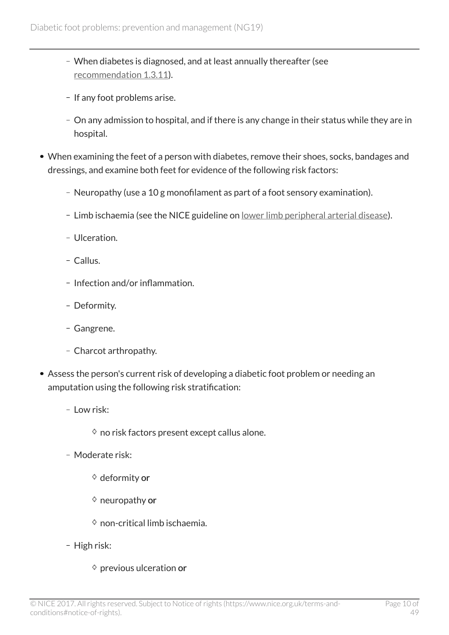- When diabetes is diagnosed, and at least annually thereafter (see [recommendation](http://live-publications.nice.org.uk/recommendations#assessing-the-risk-of-developing-a-diabetic-foot-problem-2) 1.3.11).
- If any foot problems arise.
- On any admission to hospital, and if there is any change in their status while they are in hospital.
- When examining the feet of a person with diabetes, remove their shoes, socks, bandages and dressings, and examine both feet for evidence of the following risk factors:
	- Neuropathy (use a 10 g monofilament as part of a foot sensory examination).
	- Limb ischaemia (see the NICE guideline on <u>lower limb peripheral arterial disease</u>).
	- Ulceration
	- Callus.
	- Infection and/or inflammation.
	- Deformity.
	- Gangrene.
	- Charcot arthropathy.
- Assess the person's current risk of developing a diabetic foot problem or needing an amputation using the following risk stratification:
	- Low risk:
		- $\diamond$  no risk factors present except callus alone.
	- Moderate risk:
		- $\diamond$  deformity or
		- $\diamond$  neuropathy or
		- $\diamond$  non-critical limb ischaemia.
	- High risk:
		- $\diamond$  previous ulceration or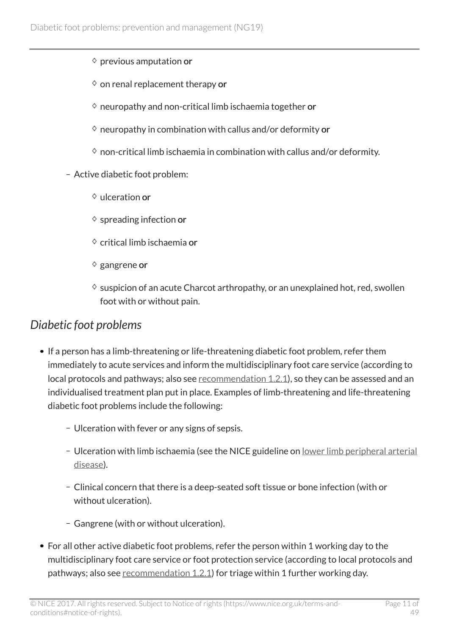- $\diamond$  previous amputation or
- $\diamond$  on renal replacement therapy or
- $\diamond$  neuropathy and non-critical limb ischaemia together or
- $\diamond$  neuropathy in combination with callus and/or deformity or
- $\Diamond$  non-critical limb ischaemia in combination with callus and/or deformity.
- Active diabetic foot problem:
	- $\Diamond$  ulceration or
	- $\diamond$  spreading infection or
	- $\diamond$  critical limb ischaemia or
	- $\diamond$  gangrene or
	- $\diamond$  suspicion of an acute Charcot arthropathy, or an unexplained hot, red, swollen foot with or without pain.

### <span id="page-10-0"></span>*Diabetic foot problems*

- If a person has a limb-threatening or life-threatening diabetic foot problem, refer them immediately to acute services and inform the multidisciplinary foot care service (according to local protocols and pathways; also see [recommendation](http://live-publications.nice.org.uk/recommendations#care-across-all-settings-2) 1.2.1), so they can be assessed and an individualised treatment plan put in place. Examples of limb-threatening and life-threatening diabetic foot problems include the following:
	- Ulceration with fever or any signs of sepsis.
	- Ulceration with limb ischaemia (see the NICE guideline on [lower limb peripheral arterial](http://www.nice.org.uk/guidance/cg147) [disease\)](http://www.nice.org.uk/guidance/cg147).
	- Clinical concern that there is a deep-seated soft tissue or bone infection (with or without ulceration).
	- Gangrene (with or without ulceration).
- For all other active diabetic foot problems, refer the person within 1 working day to the multidisciplinary foot care service or foot protection service (according to local protocols and pathways; also see [recommendation](http://live-publications.nice.org.uk/recommendations#care-across-all-settings-2) 1.2.1) for triage within 1 further working day.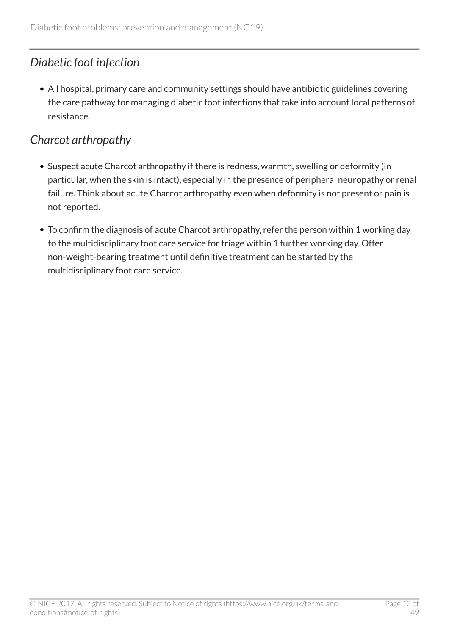# <span id="page-11-0"></span>*Diabetic foot infection*

All hospital, primary care and community settings should have antibiotic guidelines covering the care pathway for managing diabetic foot infections that take into account local patterns of resistance.

# <span id="page-11-1"></span>*Charcot arthropathy*

- Suspect acute Charcot arthropathy if there is redness, warmth, swelling or deformity (in particular, when the skin is intact), especially in the presence of peripheral neuropathy or renal failure. Think about acute Charcot arthropathy even when deformity is not present or pain is not reported.
- To confirm the diagnosis of acute Charcot arthropathy, refer the person within 1 working day to the multidisciplinary foot care service for triage within 1 further working day. Offer non-weight-bearing treatment until definitive treatment can be started by the multidisciplinary foot care service.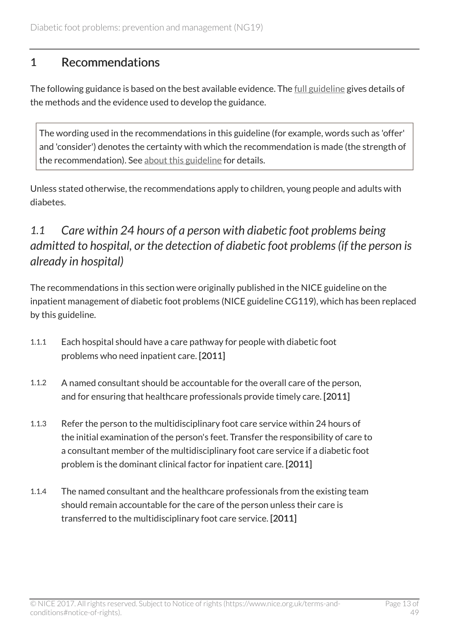### <span id="page-12-0"></span>1 Recommendations

The following guidance is based on the best available evidence. The [full guideline](http://www.nice.org.uk/guidance/NG19/Evidence) gives details of the methods and the evidence used to develop the guidance.

The wording used in the recommendations in this guideline (for example, words such as 'offer' and 'consider') denotes the certainty with which the recommendation is made (the strength of the recommendation). See [about this guideline](http://live-publications.nice.org.uk/changes-after-publication#changes-after-publication) for details.

Unless stated otherwise, the recommendations apply to children, young people and adults with diabetes.

# <span id="page-12-1"></span>*1.1 Care within 24 hours of a person with diabetic foot problems being admitted to hospital, or the detection of diabetic foot problems (if the person is already in hospital)*

The recommendations in this section were originally published in the NICE guideline on the inpatient management of diabetic foot problems (NICE guideline CG119), which has been replaced by this guideline.

- 1.1.1 Each hospital should have a care pathway for people with diabetic foot problems who need inpatient care. [2011]
- 1.1.2 A named consultant should be accountable for the overall care of the person, and for ensuring that healthcare professionals provide timely care. [2011]
- 1.1.3 Refer the person to the multidisciplinary foot care service within 24 hours of the initial examination of the person's feet. Transfer the responsibility of care to a consultant member of the multidisciplinary foot care service if a diabetic foot problem is the dominant clinical factor for inpatient care. [2011]
- 1.1.4 The named consultant and the healthcare professionals from the existing team should remain accountable for the care of the person unless their care is transferred to the multidisciplinary foot care service. [2011]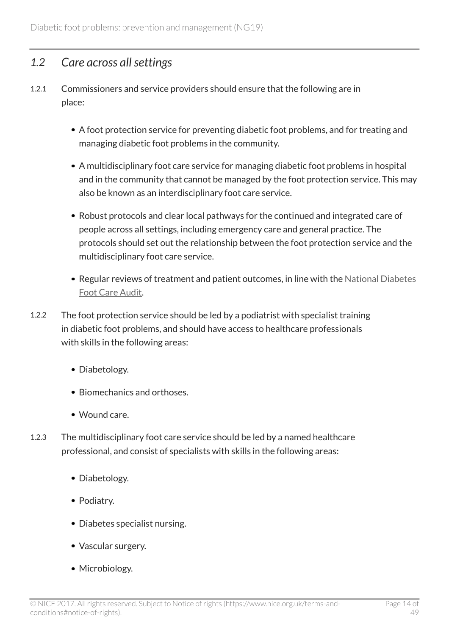### <span id="page-13-0"></span>*1.2 Care across all settings*

- 1.2.1 Commissioners and service providers should ensure that the following are in place:
	- A foot protection service for preventing diabetic foot problems, and for treating and managing diabetic foot problems in the community.
	- A multidisciplinary foot care service for managing diabetic foot problems in hospital and in the community that cannot be managed by the foot protection service. This may also be known as an interdisciplinary foot care service.
	- Robust protocols and clear local pathways for the continued and integrated care of people across all settings, including emergency care and general practice. The protocols should set out the relationship between the foot protection service and the multidisciplinary foot care service.
	- Regular reviews of treatment and patient outcomes, in line with the [National Diabetes](http://www.hscic.gov.uk/footcare) [Foot Care Audit.](http://www.hscic.gov.uk/footcare)
- 1.2.2 The foot protection service should be led by a podiatrist with specialist training in diabetic foot problems, and should have access to healthcare professionals with skills in the following areas:
	- Diabetology.
	- Biomechanics and orthoses
	- Wound care.
- 1.2.3 The multidisciplinary foot care service should be led by a named healthcare professional, and consist of specialists with skills in the following areas:
	- Diabetology.
	- Podiatry.
	- Diabetes specialist nursing.
	- Vascular surgery.
	- Microbiology.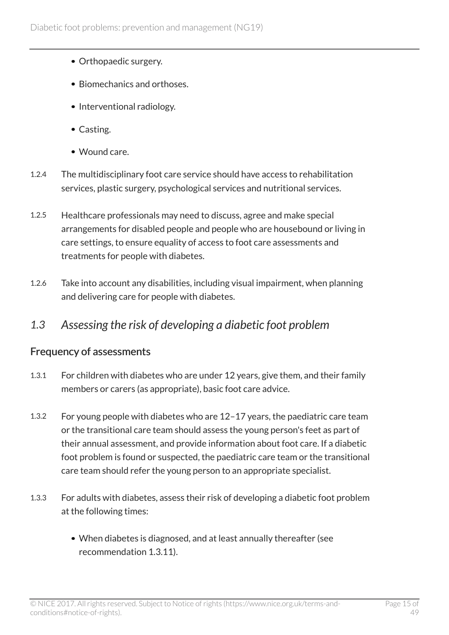- Orthopaedic surgery.
- Biomechanics and orthoses.
- Interventional radiology.
- Casting.
- Wound care.
- 1.2.4 The multidisciplinary foot care service should have access to rehabilitation services, plastic surgery, psychological services and nutritional services.
- 1.2.5 Healthcare professionals may need to discuss, agree and make special arrangements for disabled people and people who are housebound or living in care settings, to ensure equality of access to foot care assessments and treatments for people with diabetes.
- 1.2.6 Take into account any disabilities, including visual impairment, when planning and delivering care for people with diabetes.

### <span id="page-14-0"></span>*1.3 Assessing the risk of developing a diabetic foot problem*

### Frequency of assessments

- 1.3.1 For children with diabetes who are under 12 years, give them, and their family members or carers (as appropriate), basic foot care advice.
- 1.3.2 For young people with diabetes who are 12–17 years, the paediatric care team or the transitional care team should assess the young person's feet as part of their annual assessment, and provide information about foot care. If a diabetic foot problem is found or suspected, the paediatric care team or the transitional care team should refer the young person to an appropriate specialist.
- 1.3.3 For adults with diabetes, assess their risk of developing a diabetic foot problem at the following times:
	- When diabetes is diagnosed, and at least annually thereafter (see recommendation 1.3.11).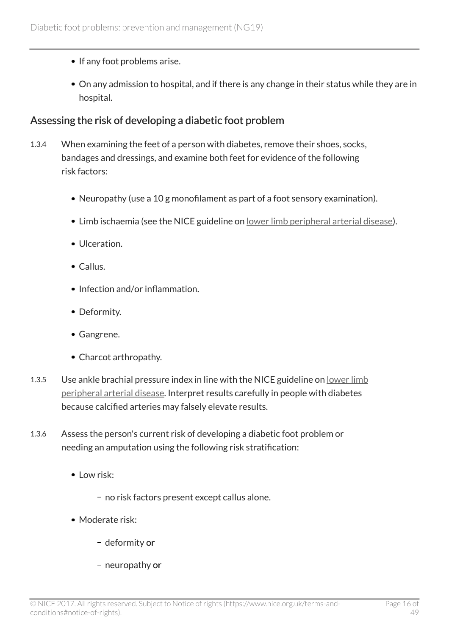- If any foot problems arise.
- On any admission to hospital, and if there is any change in their status while they are in hospital.

#### Assessing the risk of developing a diabetic foot problem

- 1.3.4 When examining the feet of a person with diabetes, remove their shoes, socks, bandages and dressings, and examine both feet for evidence of the following risk factors:
	- Neuropathy (use a 10 g monofilament as part of a foot sensory examination).
	- Limb ischaemia (see the NICE guideline on [lower limb peripheral arterial disease](http://www.nice.org.uk/guidance/cg147)).
	- Ulceration.
	- Callus.
	- Infection and/or inflammation.
	- Deformity.
	- Gangrene.
	- Charcot arthropathy.
- 1.3.5 Use ankle brachial pressure index in line with the NICE guideline on [lower limb](http://www.nice.org.uk/guidance/cg147) [peripheral arterial disease.](http://www.nice.org.uk/guidance/cg147) Interpret results carefully in people with diabetes because calcified arteries may falsely elevate results.
- 1.3.6 Assess the person's current risk of developing a diabetic foot problem or needing an amputation using the following risk stratification:
	- $\bullet$  Low risk:
		- no risk factors present except callus alone.
	- Moderate risk:
		- deformity or
		- neuropathy or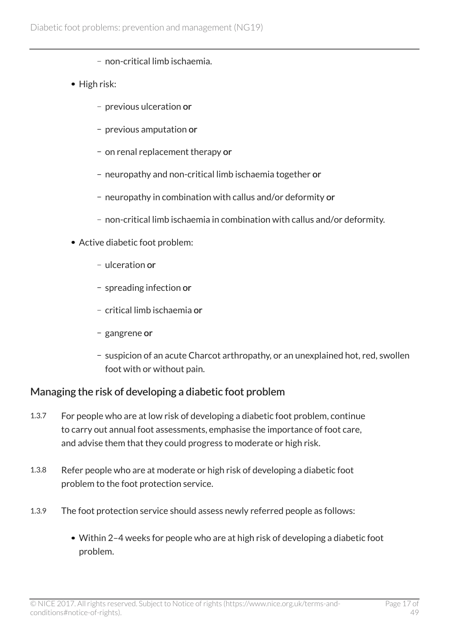- non-critical limb ischaemia.
- High risk:
	- previous ulceration or
	- previous amputation or
	- on renal replacement therapy or
	- neuropathy and non-critical limb ischaemia together or
	- neuropathy in combination with callus and/or deformity or
	- non-critical limb ischaemia in combination with callus and/or deformity.
- Active diabetic foot problem:
	- ulceration or
	- spreading infection or
	- critical limb ischaemia or
	- gangrene or
	- suspicion of an acute Charcot arthropathy, or an unexplained hot, red, swollen foot with or without pain.

### Managing the risk of developing a diabetic foot problem

- 1.3.7 For people who are at low risk of developing a diabetic foot problem, continue to carry out annual foot assessments, emphasise the importance of foot care, and advise them that they could progress to moderate or high risk.
- 1.3.8 Refer people who are at moderate or high risk of developing a diabetic foot problem to the foot protection service.
- 1.3.9 The foot protection service should assess newly referred people as follows:
	- Within 2–4 weeks for people who are at high risk of developing a diabetic foot problem.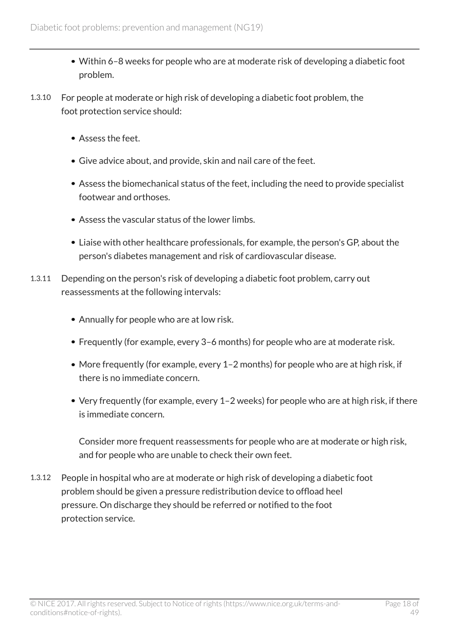- Within 6–8 weeks for people who are at moderate risk of developing a diabetic foot problem.
- 1.3.10 For people at moderate or high risk of developing a diabetic foot problem, the foot protection service should:
	- Assess the feet.
	- Give advice about, and provide, skin and nail care of the feet.
	- Assess the biomechanical status of the feet, including the need to provide specialist footwear and orthoses.
	- Assess the vascular status of the lower limbs.
	- Liaise with other healthcare professionals, for example, the person's GP, about the person's diabetes management and risk of cardiovascular disease.
- 1.3.11 Depending on the person's risk of developing a diabetic foot problem, carry out reassessments at the following intervals:
	- Annually for people who are at low risk.
	- Frequently (for example, every 3–6 months) for people who are at moderate risk.
	- More frequently (for example, every 1-2 months) for people who are at high risk, if there is no immediate concern.
	- Very frequently (for example, every 1–2 weeks) for people who are at high risk, if there is immediate concern.

Consider more frequent reassessments for people who are at moderate or high risk, and for people who are unable to check their own feet.

1.3.12 People in hospital who are at moderate or high risk of developing a diabetic foot problem should be given a pressure redistribution device to offload heel pressure. On discharge they should be referred or notified to the foot protection service.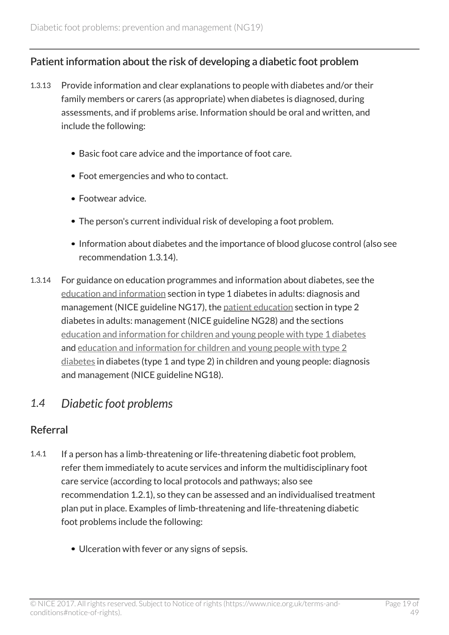### Patient information about the risk of developing a diabetic foot problem

- 1.3.13 Provide information and clear explanations to people with diabetes and/or their family members or carers (as appropriate) when diabetes is diagnosed, during assessments, and if problems arise. Information should be oral and written, and include the following:
	- Basic foot care advice and the importance of foot care.
	- Foot emergencies and who to contact.
	- Footwear advice.
	- The person's current individual risk of developing a foot problem.
	- Information about diabetes and the importance of blood glucose control (also see recommendation 1.3.14).
- 1.3.14 For guidance on education programmes and information about diabetes, see the [education and information](http://www.nice.org.uk/guidance/ng17/chapter/1-Recommendations#education-and-information-2) section in type 1 diabetes in adults: diagnosis and management (NICE guideline NG17), the [patient education](http://www.nice.org.uk/guidance/ng28/chapter/1-Recommendations#patient-education-2) section in type 2 diabetes in adults: management (NICE guideline NG28) and the sections [education and information for children and young people with type 1 diabetes](http://www.nice.org.uk/guidance/NG18/chapter/1-Recommendations#type-1-diabetes) and [education and information for children and young people with type 2](http://www.nice.org.uk/guidance/NG18/chapter/1-Recommendations#type-2-diabetes) [diabetes](http://www.nice.org.uk/guidance/NG18/chapter/1-Recommendations#type-2-diabetes) in diabetes (type 1 and type 2) in children and young people: diagnosis and management (NICE guideline NG18).

### <span id="page-18-0"></span>*1.4 Diabetic foot problems*

### Referral

- 1.4.1 If a person has a limb-threatening or life-threatening diabetic foot problem, refer them immediately to acute services and inform the multidisciplinary foot care service (according to local protocols and pathways; also see recommendation 1.2.1), so they can be assessed and an individualised treatment plan put in place. Examples of limb-threatening and life-threatening diabetic foot problems include the following:
	- Ulceration with fever or any signs of sepsis.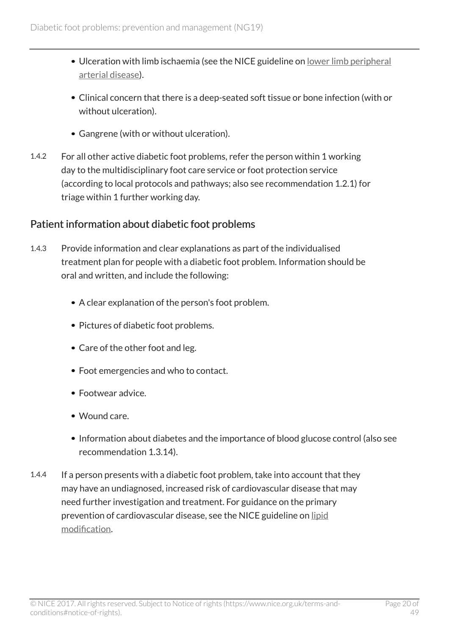- Ulceration with limb ischaemia (see the NICE guideline on [lower limb peripheral](http://www.nice.org.uk/guidance/cg147) [arterial disease\)](http://www.nice.org.uk/guidance/cg147).
- Clinical concern that there is a deep-seated soft tissue or bone infection (with or without ulceration).
- Gangrene (with or without ulceration).
- 1.4.2 For all other active diabetic foot problems, refer the person within 1 working day to the multidisciplinary foot care service or foot protection service (according to local protocols and pathways; also see recommendation 1.2.1) for triage within 1 further working day.

### Patient information about diabetic foot problems

- 1.4.3 Provide information and clear explanations as part of the individualised treatment plan for people with a diabetic foot problem. Information should be oral and written, and include the following:
	- A clear explanation of the person's foot problem.
	- Pictures of diabetic foot problems.
	- Care of the other foot and leg.
	- Foot emergencies and who to contact.
	- Footwear advice.
	- Wound care.
	- Information about diabetes and the importance of blood glucose control (also see recommendation 1.3.14).
- 1.4.4 If a person presents with a diabetic foot problem, take into account that they may have an undiagnosed, increased risk of cardiovascular disease that may need further investigation and treatment. For guidance on the primary prevention of cardiovascular disease, see the NICE guideline on [lipid](http://www.nice.org.uk/guidance/cg181) [modification.](http://www.nice.org.uk/guidance/cg181)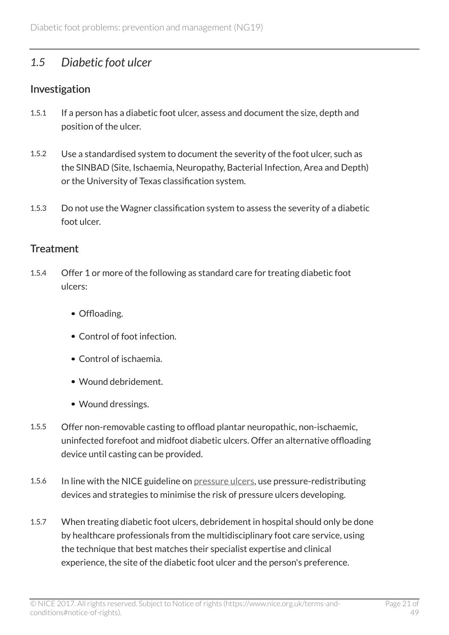### <span id="page-20-0"></span>*1.5 Diabetic foot ulcer*

### Investigation

- 1.5.1 If a person has a diabetic foot ulcer, assess and document the size, depth and position of the ulcer.
- 1.5.2 Use a standardised system to document the severity of the foot ulcer, such as the SINBAD (Site, Ischaemia, Neuropathy, Bacterial Infection, Area and Depth) or the University of Texas classification system.
- 1.5.3 Do not use the Wagner classification system to assess the severity of a diabetic foot ulcer.

#### **Treatment**

- 1.5.4 Offer 1 or more of the following as standard care for treating diabetic foot ulcers:
	- Offloading.
	- Control of foot infection.
	- Control of ischaemia.
	- Wound debridement.
	- Wound dressings.
- 1.5.5 Offer non-removable casting to offload plantar neuropathic, non-ischaemic, uninfected forefoot and midfoot diabetic ulcers. Offer an alternative offloading device until casting can be provided.
- 1.5.6 In line with the NICE guideline on [pressure ulcers,](http://www.nice.org.uk/guidance/cg179) use pressure-redistributing devices and strategies to minimise the risk of pressure ulcers developing.
- 1.5.7 When treating diabetic foot ulcers, debridement in hospital should only be done by healthcare professionals from the multidisciplinary foot care service, using the technique that best matches their specialist expertise and clinical experience, the site of the diabetic foot ulcer and the person's preference.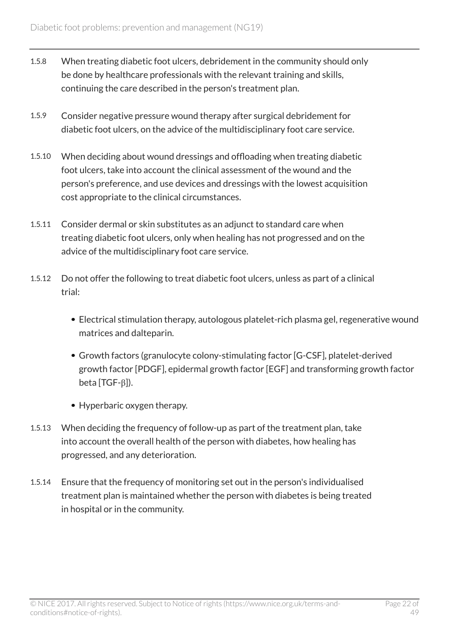- 1.5.8 When treating diabetic foot ulcers, debridement in the community should only be done by healthcare professionals with the relevant training and skills, continuing the care described in the person's treatment plan.
- 1.5.9 Consider negative pressure wound therapy after surgical debridement for diabetic foot ulcers, on the advice of the multidisciplinary foot care service.
- 1.5.10 When deciding about wound dressings and offloading when treating diabetic foot ulcers, take into account the clinical assessment of the wound and the person's preference, and use devices and dressings with the lowest acquisition cost appropriate to the clinical circumstances.
- 1.5.11 Consider dermal or skin substitutes as an adjunct to standard care when treating diabetic foot ulcers, only when healing has not progressed and on the advice of the multidisciplinary foot care service.
- 1.5.12 Do not offer the following to treat diabetic foot ulcers, unless as part of a clinical trial:
	- Electrical stimulation therapy, autologous platelet-rich plasma gel, regenerative wound matrices and dalteparin.
	- Growth factors (granulocyte colony-stimulating factor [G-CSF], platelet-derived growth factor [PDGF], epidermal growth factor [EGF] and transforming growth factor beta [TGF-β]).
	- Hyperbaric oxygen therapy.
- 1.5.13 When deciding the frequency of follow-up as part of the treatment plan, take into account the overall health of the person with diabetes, how healing has progressed, and any deterioration.
- 1.5.14 Ensure that the frequency of monitoring set out in the person's individualised treatment plan is maintained whether the person with diabetes is being treated in hospital or in the community.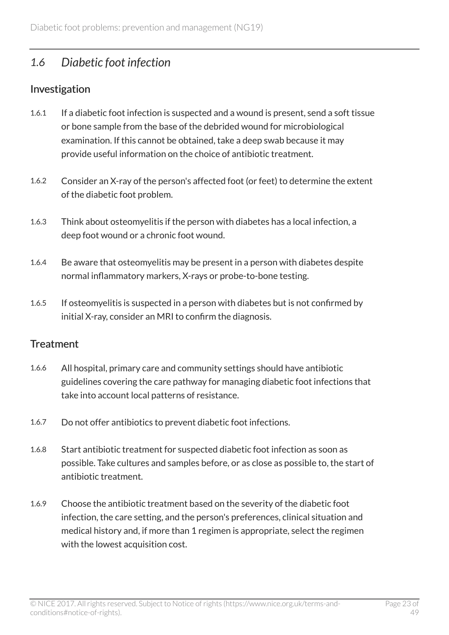### <span id="page-22-0"></span>*1.6 Diabetic foot infection*

### Investigation

- 1.6.1 If a diabetic foot infection is suspected and a wound is present, send a soft tissue or bone sample from the base of the debrided wound for microbiological examination. If this cannot be obtained, take a deep swab because it may provide useful information on the choice of antibiotic treatment.
- 1.6.2 Consider an X-ray of the person's affected foot (or feet) to determine the extent of the diabetic foot problem.
- 1.6.3 Think about osteomyelitis if the person with diabetes has a local infection, a deep foot wound or a chronic foot wound.
- 1.6.4 Be aware that osteomyelitis may be present in a person with diabetes despite normal inflammatory markers, X-rays or probe-to-bone testing.
- 1.6.5 If osteomyelitis is suspected in a person with diabetes but is not confirmed by initial X-ray, consider an MRI to confirm the diagnosis.

### **Treatment**

- 1.6.6 All hospital, primary care and community settings should have antibiotic guidelines covering the care pathway for managing diabetic foot infections that take into account local patterns of resistance.
- 1.6.7 Do not offer antibiotics to prevent diabetic foot infections.
- 1.6.8 Start antibiotic treatment for suspected diabetic foot infection as soon as possible. Take cultures and samples before, or as close as possible to, the start of antibiotic treatment.
- 1.6.9 Choose the antibiotic treatment based on the severity of the diabetic foot infection, the care setting, and the person's preferences, clinical situation and medical history and, if more than 1 regimen is appropriate, select the regimen with the lowest acquisition cost.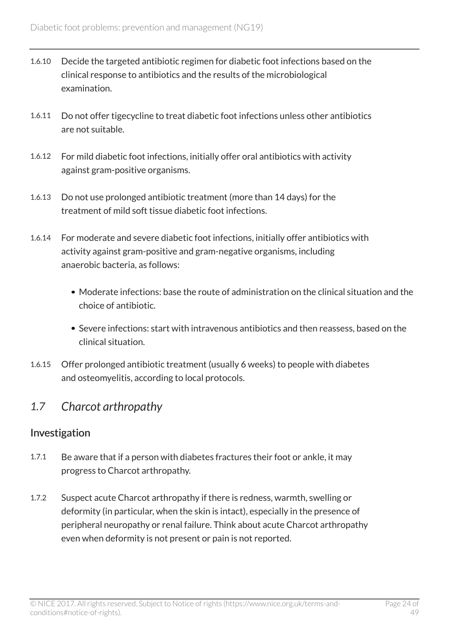- 1.6.10 Decide the targeted antibiotic regimen for diabetic foot infections based on the clinical response to antibiotics and the results of the microbiological examination.
- 1.6.11 Do not offer tigecycline to treat diabetic foot infections unless other antibiotics are not suitable.
- 1.6.12 For mild diabetic foot infections, initially offer oral antibiotics with activity against gram-positive organisms.
- 1.6.13 Do not use prolonged antibiotic treatment (more than 14 days) for the treatment of mild soft tissue diabetic foot infections.
- 1.6.14 For moderate and severe diabetic foot infections, initially offer antibiotics with activity against gram-positive and gram-negative organisms, including anaerobic bacteria, as follows:
	- Moderate infections: base the route of administration on the clinical situation and the choice of antibiotic.
	- Severe infections: start with intravenous antibiotics and then reassess, based on the clinical situation.
- 1.6.15 Offer prolonged antibiotic treatment (usually 6 weeks) to people with diabetes and osteomyelitis, according to local protocols.

### <span id="page-23-0"></span>*1.7 Charcot arthropathy*

### Investigation

- 1.7.1 Be aware that if a person with diabetes fractures their foot or ankle, it may progress to Charcot arthropathy.
- 1.7.2 Suspect acute Charcot arthropathy if there is redness, warmth, swelling or deformity (in particular, when the skin is intact), especially in the presence of peripheral neuropathy or renal failure. Think about acute Charcot arthropathy even when deformity is not present or pain is not reported.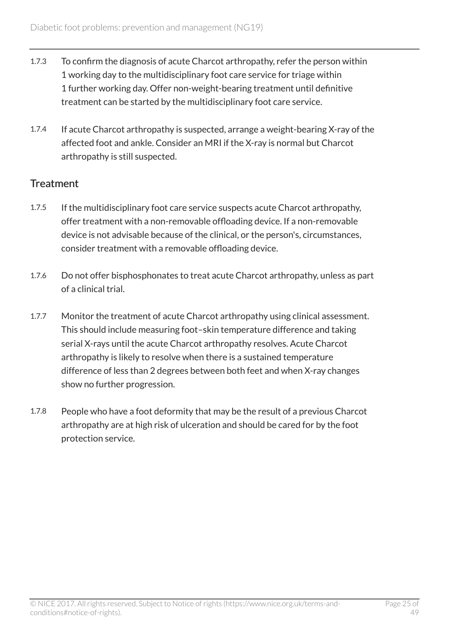- 1.7.3 To confirm the diagnosis of acute Charcot arthropathy, refer the person within 1 working day to the multidisciplinary foot care service for triage within 1 further working day. Offer non-weight-bearing treatment until definitive treatment can be started by the multidisciplinary foot care service.
- 1.7.4 If acute Charcot arthropathy is suspected, arrange a weight-bearing X-ray of the affected foot and ankle. Consider an MRI if the X-ray is normal but Charcot arthropathy is still suspected.

### **Treatment**

- 1.7.5 If the multidisciplinary foot care service suspects acute Charcot arthropathy, offer treatment with a non-removable offloading device. If a non-removable device is not advisable because of the clinical, or the person's, circumstances, consider treatment with a removable offloading device.
- 1.7.6 Do not offer bisphosphonates to treat acute Charcot arthropathy, unless as part of a clinical trial.
- 1.7.7 Monitor the treatment of acute Charcot arthropathy using clinical assessment. This should include measuring foot–skin temperature difference and taking serial X-rays until the acute Charcot arthropathy resolves. Acute Charcot arthropathy is likely to resolve when there is a sustained temperature difference of less than 2 degrees between both feet and when X-ray changes show no further progression.
- 1.7.8 People who have a foot deformity that may be the result of a previous Charcot arthropathy are at high risk of ulceration and should be cared for by the foot protection service.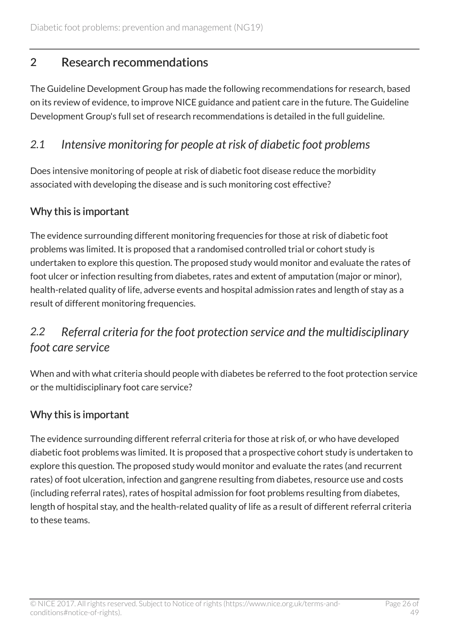# <span id="page-25-0"></span>2 Research recommendations

The Guideline Development Group has made the following recommendations for research, based on its review of evidence, to improve NICE guidance and patient care in the future. The Guideline Development Group's full set of research recommendations is detailed in the full guideline.

### <span id="page-25-1"></span>*2.1 Intensive monitoring for people at risk of diabetic foot problems*

Does intensive monitoring of people at risk of diabetic foot disease reduce the morbidity associated with developing the disease and is such monitoring cost effective?

### Why this is important

The evidence surrounding different monitoring frequencies for those at risk of diabetic foot problems was limited. It is proposed that a randomised controlled trial or cohort study is undertaken to explore this question. The proposed study would monitor and evaluate the rates of foot ulcer or infection resulting from diabetes, rates and extent of amputation (major or minor), health-related quality of life, adverse events and hospital admission rates and length of stay as a result of different monitoring frequencies.

# <span id="page-25-2"></span>*2.2 Referral criteria for the foot protection service and the multidisciplinary foot care service*

When and with what criteria should people with diabetes be referred to the foot protection service or the multidisciplinary foot care service?

### Why this is important

The evidence surrounding different referral criteria for those at risk of, or who have developed diabetic foot problems was limited. It is proposed that a prospective cohort study is undertaken to explore this question. The proposed study would monitor and evaluate the rates (and recurrent rates) of foot ulceration, infection and gangrene resulting from diabetes, resource use and costs (including referral rates), rates of hospital admission for foot problems resulting from diabetes, length of hospital stay, and the health-related quality of life as a result of different referral criteria to these teams.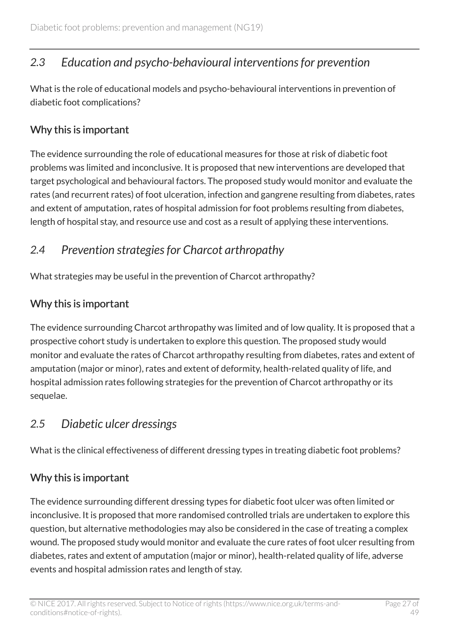# <span id="page-26-0"></span>*2.3 Education and psycho-behavioural interventions for prevention*

What is the role of educational models and psycho-behavioural interventions in prevention of diabetic foot complications?

### Why this is important

The evidence surrounding the role of educational measures for those at risk of diabetic foot problems was limited and inconclusive. It is proposed that new interventions are developed that target psychological and behavioural factors. The proposed study would monitor and evaluate the rates (and recurrent rates) of foot ulceration, infection and gangrene resulting from diabetes, rates and extent of amputation, rates of hospital admission for foot problems resulting from diabetes, length of hospital stay, and resource use and cost as a result of applying these interventions.

# <span id="page-26-1"></span>*2.4 Prevention strategies for Charcot arthropathy*

What strategies may be useful in the prevention of Charcot arthropathy?

### Why this is important

The evidence surrounding Charcot arthropathy was limited and of low quality. It is proposed that a prospective cohort study is undertaken to explore this question. The proposed study would monitor and evaluate the rates of Charcot arthropathy resulting from diabetes, rates and extent of amputation (major or minor), rates and extent of deformity, health-related quality of life, and hospital admission rates following strategies for the prevention of Charcot arthropathy or its sequelae.

### <span id="page-26-2"></span>*2.5 Diabetic ulcer dressings*

What is the clinical effectiveness of different dressing types in treating diabetic foot problems?

### Why this is important

The evidence surrounding different dressing types for diabetic foot ulcer was often limited or inconclusive. It is proposed that more randomised controlled trials are undertaken to explore this question, but alternative methodologies may also be considered in the case of treating a complex wound. The proposed study would monitor and evaluate the cure rates of foot ulcer resulting from diabetes, rates and extent of amputation (major or minor), health-related quality of life, adverse events and hospital admission rates and length of stay.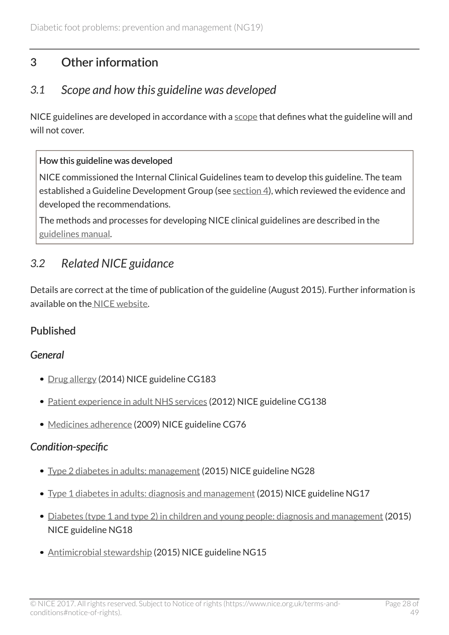# <span id="page-27-0"></span>3 Other information

### <span id="page-27-1"></span>*3.1 Scope and how this guideline was developed*

NICE guidelines are developed in accordance with a [scope](http://www.nice.org.uk/Guidance/ng19/documents) that defines what the guideline will and will not cover.

#### How this guideline was developed

NICE commissioned the Internal Clinical Guidelines team to develop this guideline. The team established a Guideline Development Group (see [section](http://live-publications.nice.org.uk/the-guideline-development-group-internal-clinical-guidelines-team-and-nice-project-team-and#the-guideline-development-group-internal-clinical-guidelines-team-and-nice-project-team-and) 4), which reviewed the evidence and developed the recommendations.

The methods and processes for developing NICE clinical guidelines are described in the [guidelines manual.](http://www.nice.org.uk/article/PMG6/chapter/1%20Introduction)

# <span id="page-27-2"></span>*3.2 Related NICE guidance*

Details are correct at the time of publication of the guideline (August 2015). Further information is available on the [NICE website.](http://www.nice.org.uk/)

### Published

### *General*

- [Drug allergy](http://www.nice.org.uk/guidance/cg183) (2014) NICE guideline CG183
- [Patient experience in adult NHS services](http://www.nice.org.uk/guidance/cg138) (2012) NICE guideline CG138
- [Medicines adherence](http://www.nice.org.uk/guidance/cg76) (2009) NICE guideline CG76

### *Condition-specific*

- [Type 2 diabetes in adults: management](http://www.nice.org.uk/guidance/ng28) (2015) NICE guideline NG28
- [Type 1 diabetes in adults: diagnosis and management](http://www.nice.org.uk/guidance/ng17) (2015) NICE guideline NG17
- [Diabetes \(type 1 and type 2\) in children and young people: diagnosis and management](http://www.nice.org.uk/guidance/ng18) (2015) NICE guideline NG18
- [Antimicrobial stewardship](http://www.nice.org.uk/guidance/ng15) (2015) NICE guideline NG15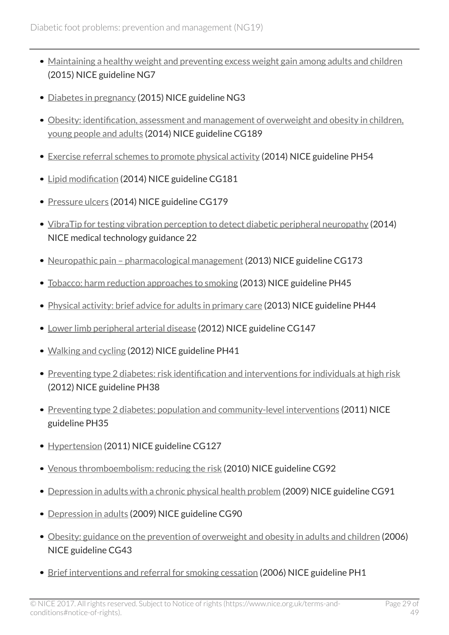- [Maintaining a healthy weight and preventing excess weight gain among adults and children](http://www.nice.org.uk/guidance/ng7) (2015) NICE guideline NG7
- [Diabetes in pregnancy](http://www.nice.org.uk/guidance/ng3) (2015) NICE guideline NG3
- [Obesity: identification, assessment and management of overweight and obesity in children,](http://www.nice.org.uk/guidance/cg189) [young people and adults](http://www.nice.org.uk/guidance/cg189) (2014) NICE guideline CG189
- [Exercise referral schemes to promote physical activity](http://www.nice.org.uk/guidance/ph54) (2014) NICE guideline PH54
- [Lipid modification](http://www.nice.org.uk/guidance/cg181) (2014) NICE guideline CG181
- [Pressure ulcers](http://www.nice.org.uk/guidance/cg179) (2014) NICE guideline CG179
- [VibraTip for testing vibration perception to detect diabetic peripheral neuropathy](http://www.nice.org.uk/guidance/mtg22) (2014) NICE medical technology guidance 22
- Neuropathic pain pharmacological management (2013) NICE guideline CG173
- [Tobacco: harm reduction approaches to smoking](http://www.nice.org.uk/guidance/ph45) (2013) NICE guideline PH45
- [Physical activity: brief advice for adults in primary care](http://www.nice.org.uk/guidance/ph44) (2013) NICE guideline PH44
- [Lower limb peripheral arterial disease](http://www.nice.org.uk/guidance/cg147) (2012) NICE guideline CG147
- [Walking and cycling](http://www.nice.org.uk/guidance/ph41) (2012) NICE guideline PH41
- [Preventing type 2 diabetes: risk identification and interventions for individuals at high risk](http://www.nice.org.uk/guidance/ph38) (2012) NICE guideline PH38
- [Preventing type 2 diabetes: population and community-level interventions](http://www.nice.org.uk/guidance/ph35) (2011) NICE guideline PH35
- [Hypertension](http://www.nice.org.uk/guidance/cg127) (2011) NICE guideline CG127
- [Venous thromboembolism: reducing the risk](http://www.nice.org.uk/guidance/cg92) (2010) NICE guideline CG92
- [Depression in adults with a chronic physical health problem](http://www.nice.org.uk/guidance/cg91) (2009) NICE guideline CG91
- [Depression in adults](http://www.nice.org.uk/guidance/cg90) (2009) NICE guideline CG90
- [Obesity: guidance on the prevention of overweight and obesity in adults and children](http://www.nice.org.uk/guidance/cg43) (2006) NICE guideline CG43
- [Brief interventions and referral for smoking cessation](http://www.nice.org.uk/guidance/ph1) (2006) NICE guideline PH1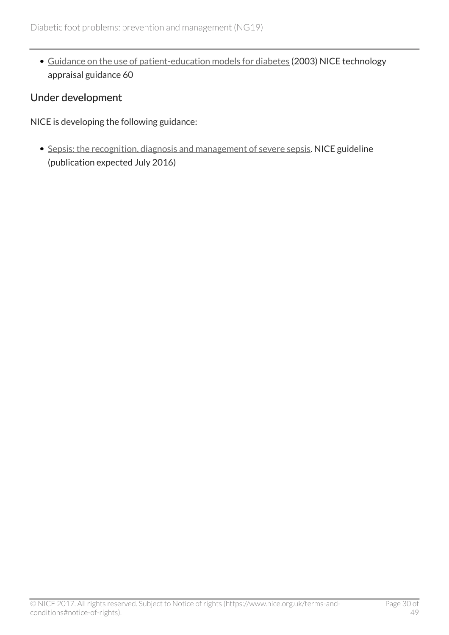[Guidance on the use of patient-education models for diabetes](http://www.nice.org.uk/guidance/ta60) (2003) NICE technology appraisal guidance 60

#### Under development

NICE is developing the following guidance:

• [Sepsis: the recognition, diagnosis and management of severe sepsis.](https://www.nice.org.uk/guidance/indevelopment/gid-cgwave0686) NICE guideline (publication expected July 2016)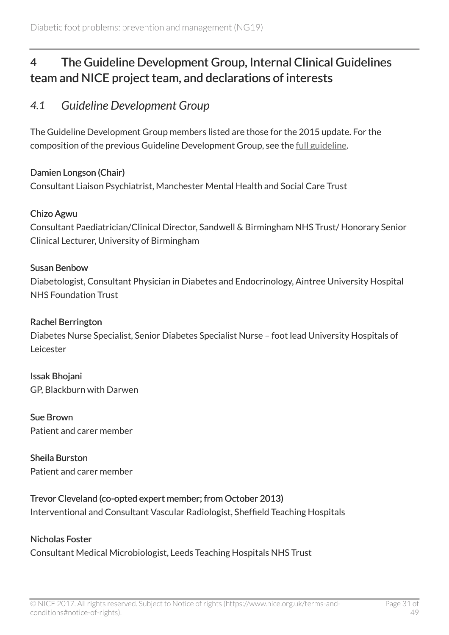# <span id="page-30-0"></span>4 The Guideline Development Group, Internal Clinical Guidelines team and NICE project team, and declarations of interests

### <span id="page-30-1"></span>*4.1 Guideline Development Group*

The Guideline Development Group members listed are those for the 2015 update. For the composition of the previous Guideline Development Group, see the [full guideline](http://www.nice.org.uk/guidance/NG19/Evidence).

#### Damien Longson (Chair)

Consultant Liaison Psychiatrist, Manchester Mental Health and Social Care Trust

#### Chizo Agwu

Consultant Paediatrician/Clinical Director, Sandwell & Birmingham NHS Trust/ Honorary Senior Clinical Lecturer, University of Birmingham

#### Susan Benbow

Diabetologist, Consultant Physician in Diabetes and Endocrinology, Aintree University Hospital NHS Foundation Trust

#### Rachel Berrington

Diabetes Nurse Specialist, Senior Diabetes Specialist Nurse – foot lead University Hospitals of Leicester

Issak Bhojani GP, Blackburn with Darwen

Sue Brown Patient and carer member

Sheila Burston Patient and carer member

#### Trevor Cleveland (co-opted expert member; from October 2013)

Interventional and Consultant Vascular Radiologist, Sheffield Teaching Hospitals

#### Nicholas Foster

Consultant Medical Microbiologist, Leeds Teaching Hospitals NHS Trust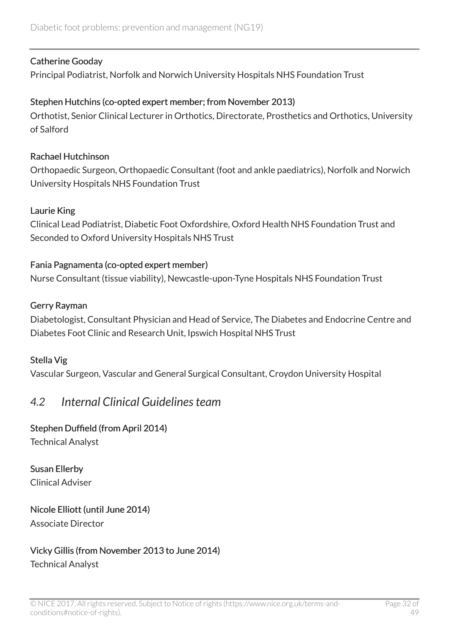#### Catherine Gooday

Principal Podiatrist, Norfolk and Norwich University Hospitals NHS Foundation Trust

#### Stephen Hutchins (co-opted expert member; from November 2013)

Orthotist, Senior Clinical Lecturer in Orthotics, Directorate, Prosthetics and Orthotics, University of Salford

#### Rachael Hutchinson

Orthopaedic Surgeon, Orthopaedic Consultant (foot and ankle paediatrics), Norfolk and Norwich University Hospitals NHS Foundation Trust

#### Laurie King

Clinical Lead Podiatrist, Diabetic Foot Oxfordshire, Oxford Health NHS Foundation Trust and Seconded to Oxford University Hospitals NHS Trust

#### Fania Pagnamenta (co-opted expert member)

Nurse Consultant (tissue viability), Newcastle-upon-Tyne Hospitals NHS Foundation Trust

#### Gerry Rayman

Diabetologist, Consultant Physician and Head of Service, The Diabetes and Endocrine Centre and Diabetes Foot Clinic and Research Unit, Ipswich Hospital NHS Trust

#### Stella Vig

Vascular Surgeon, Vascular and General Surgical Consultant, Croydon University Hospital

### <span id="page-31-0"></span>*4.2 Internal Clinical Guidelines team*

#### Stephen Duffield (from April 2014)

Technical Analyst

Susan Ellerby Clinical Adviser

#### Nicole Elliott (until June 2014) Associate Director

#### Vicky Gillis (from November 2013 to June 2014) Technical Analyst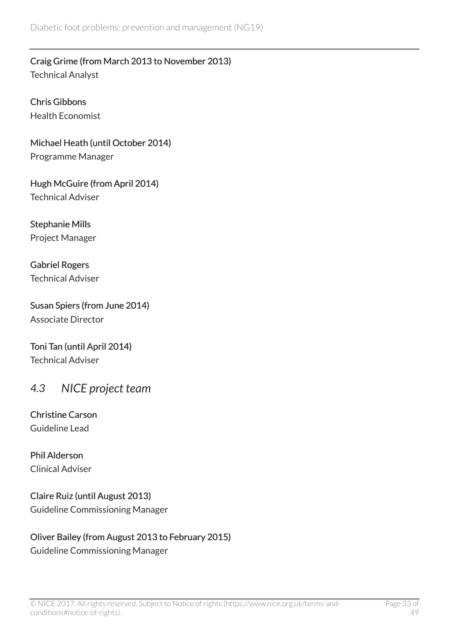Craig Grime (from March 2013 to November 2013) Technical Analyst

Chris Gibbons Health Economist

Michael Heath (until October 2014) Programme Manager

Hugh McGuire (from April 2014) Technical Adviser

Stephanie Mills Project Manager

Gabriel Rogers Technical Adviser

Susan Spiers (from June 2014) Associate Director

Toni Tan (until April 2014) Technical Adviser

### <span id="page-32-0"></span>*4.3 NICE project team*

Christine Carson Guideline Lead

Phil Alderson Clinical Adviser

Claire Ruiz (until August 2013) Guideline Commissioning Manager

### Oliver Bailey (from August 2013 to February 2015)

Guideline Commissioning Manager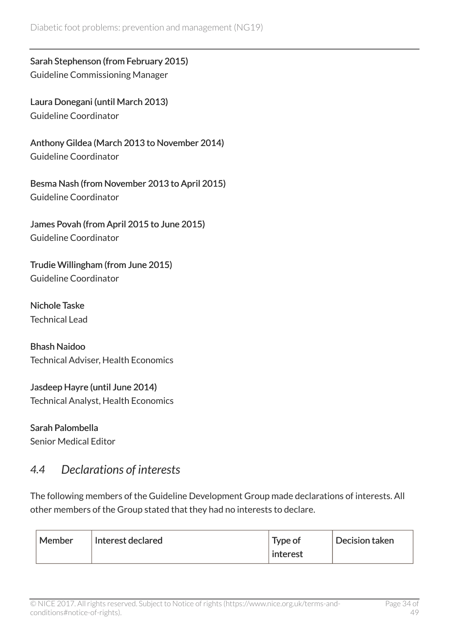Sarah Stephenson (from February 2015) Guideline Commissioning Manager

Laura Donegani (until March 2013) Guideline Coordinator

Anthony Gildea (March 2013 to November 2014) Guideline Coordinator

Besma Nash (from November 2013 to April 2015) Guideline Coordinator

James Povah (from April 2015 to June 2015) Guideline Coordinator

Trudie Willingham (from June 2015) Guideline Coordinator

Nichole Taske Technical Lead

Bhash Naidoo Technical Adviser, Health Economics

Jasdeep Hayre (until June 2014) Technical Analyst, Health Economics

Sarah Palombella Senior Medical Editor

### <span id="page-33-0"></span>*4.4 Declarations of interests*

The following members of the Guideline Development Group made declarations of interests. All other members of the Group stated that they had no interests to declare.

| Member<br>Interest declared | Type of<br>interest | Decision taken |
|-----------------------------|---------------------|----------------|
|-----------------------------|---------------------|----------------|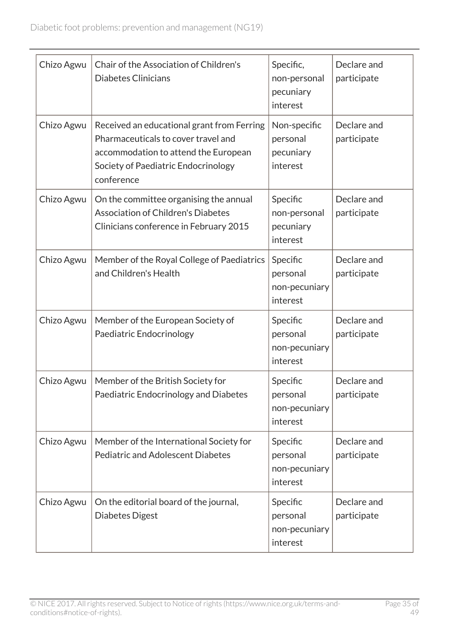| Chizo Agwu | Chair of the Association of Children's<br><b>Diabetes Clinicians</b>                                                                                                           | Specific,<br>non-personal<br>pecuniary                        | Declare and<br>participate |
|------------|--------------------------------------------------------------------------------------------------------------------------------------------------------------------------------|---------------------------------------------------------------|----------------------------|
| Chizo Agwu | Received an educational grant from Ferring<br>Pharmaceuticals to cover travel and<br>accommodation to attend the European<br>Society of Paediatric Endocrinology<br>conference | interest<br>Non-specific<br>personal<br>pecuniary<br>interest | Declare and<br>participate |
| Chizo Agwu | On the committee organising the annual<br><b>Association of Children's Diabetes</b><br>Clinicians conference in February 2015                                                  | Specific<br>non-personal<br>pecuniary<br>interest             | Declare and<br>participate |
| Chizo Agwu | Member of the Royal College of Paediatrics<br>and Children's Health                                                                                                            | Specific<br>personal<br>non-pecuniary<br>interest             | Declare and<br>participate |
| Chizo Agwu | Member of the European Society of<br>Paediatric Endocrinology                                                                                                                  | Specific<br>personal<br>non-pecuniary<br>interest             | Declare and<br>participate |
| Chizo Agwu | Member of the British Society for<br>Paediatric Endocrinology and Diabetes                                                                                                     | Specific<br>personal<br>non-pecuniary<br>interest             | Declare and<br>participate |
| Chizo Agwu | Member of the International Society for<br><b>Pediatric and Adolescent Diabetes</b>                                                                                            | Specific<br>personal<br>non-pecuniary<br>interest             | Declare and<br>participate |
| Chizo Agwu | On the editorial board of the journal,<br>Diabetes Digest                                                                                                                      | Specific<br>personal<br>non-pecuniary<br>interest             | Declare and<br>participate |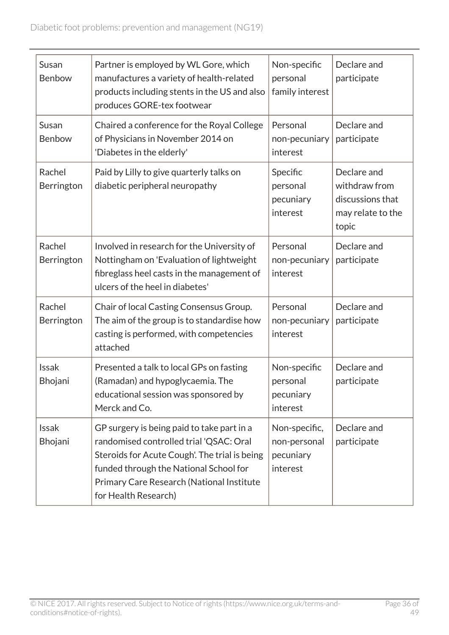| Susan<br>Benbow         | Partner is employed by WL Gore, which<br>manufactures a variety of health-related<br>products including stents in the US and also<br>produces GORE-tex footwear                                                                                       | Non-specific<br>personal<br>family interest            | Declare and<br>participate                                                     |
|-------------------------|-------------------------------------------------------------------------------------------------------------------------------------------------------------------------------------------------------------------------------------------------------|--------------------------------------------------------|--------------------------------------------------------------------------------|
| Susan<br>Benbow         | Chaired a conference for the Royal College<br>of Physicians in November 2014 on<br>'Diabetes in the elderly'                                                                                                                                          | Personal<br>non-pecuniary<br>interest                  | Declare and<br>participate                                                     |
| Rachel<br>Berrington    | Paid by Lilly to give quarterly talks on<br>diabetic peripheral neuropathy                                                                                                                                                                            | Specific<br>personal<br>pecuniary<br>interest          | Declare and<br>withdraw from<br>discussions that<br>may relate to the<br>topic |
| Rachel<br>Berrington    | Involved in research for the University of<br>Nottingham on 'Evaluation of lightweight<br>fibreglass heel casts in the management of<br>ulcers of the heel in diabetes'                                                                               | Personal<br>non-pecuniary<br>interest                  | Declare and<br>participate                                                     |
| Rachel<br>Berrington    | Chair of local Casting Consensus Group.<br>The aim of the group is to standardise how<br>casting is performed, with competencies<br>attached                                                                                                          | Personal<br>non-pecuniary<br>interest                  | Declare and<br>participate                                                     |
| <b>Issak</b><br>Bhojani | Presented a talk to local GPs on fasting<br>(Ramadan) and hypoglycaemia. The<br>educational session was sponsored by<br>Merck and Co.                                                                                                                 | Non-specific<br>personal<br>pecuniary<br>interest      | Declare and<br>participate                                                     |
| <b>Issak</b><br>Bhojani | GP surgery is being paid to take part in a<br>randomised controlled trial 'QSAC: Oral<br>Steroids for Acute Cough'. The trial is being<br>funded through the National School for<br>Primary Care Research (National Institute<br>for Health Research) | Non-specific,<br>non-personal<br>pecuniary<br>interest | Declare and<br>participate                                                     |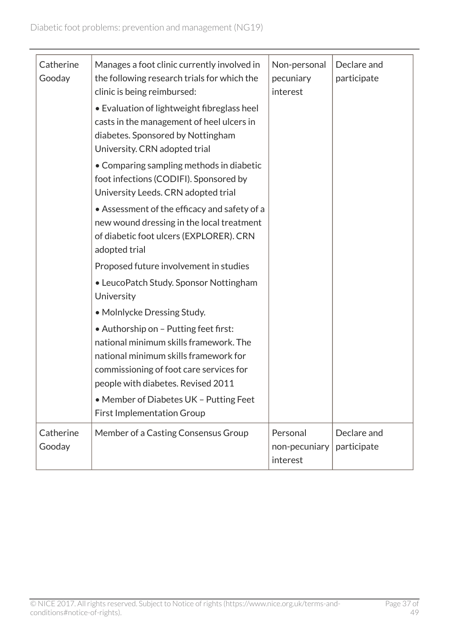| Catherine<br>Gooday | Manages a foot clinic currently involved in<br>the following research trials for which the<br>clinic is being reimbursed:<br>• Evaluation of lightweight fibreglass heel<br>casts in the management of heel ulcers in<br>diabetes. Sponsored by Nottingham<br>University. CRN adopted trial | Non-personal<br>pecuniary<br>interest | Declare and<br>participate |
|---------------------|---------------------------------------------------------------------------------------------------------------------------------------------------------------------------------------------------------------------------------------------------------------------------------------------|---------------------------------------|----------------------------|
|                     | • Comparing sampling methods in diabetic<br>foot infections (CODIFI). Sponsored by<br>University Leeds. CRN adopted trial                                                                                                                                                                   |                                       |                            |
|                     | • Assessment of the efficacy and safety of a<br>new wound dressing in the local treatment<br>of diabetic foot ulcers (EXPLORER). CRN<br>adopted trial                                                                                                                                       |                                       |                            |
|                     | Proposed future involvement in studies                                                                                                                                                                                                                                                      |                                       |                            |
|                     | • LeucoPatch Study. Sponsor Nottingham<br>University                                                                                                                                                                                                                                        |                                       |                            |
|                     | • Molnlycke Dressing Study.                                                                                                                                                                                                                                                                 |                                       |                            |
|                     | • Authorship on - Putting feet first:<br>national minimum skills framework. The<br>national minimum skills framework for<br>commissioning of foot care services for<br>people with diabetes. Revised 2011                                                                                   |                                       |                            |
|                     | • Member of Diabetes UK - Putting Feet<br><b>First Implementation Group</b>                                                                                                                                                                                                                 |                                       |                            |
| Catherine<br>Gooday | Member of a Casting Consensus Group                                                                                                                                                                                                                                                         | Personal<br>non-pecuniary<br>interest | Declare and<br>participate |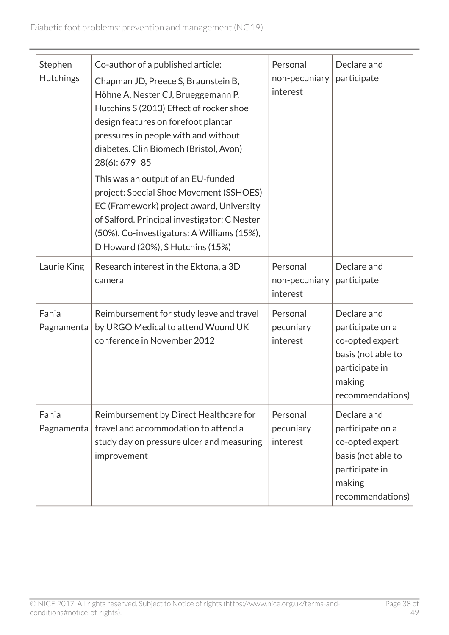| Stephen<br><b>Hutchings</b> | Co-author of a published article:<br>Chapman JD, Preece S, Braunstein B,<br>Höhne A, Nester CJ, Brueggemann P,<br>Hutchins S (2013) Effect of rocker shoe<br>design features on forefoot plantar<br>pressures in people with and without<br>diabetes. Clin Biomech (Bristol, Avon)<br>28(6): 679-85<br>This was an output of an EU-funded<br>project: Special Shoe Movement (SSHOES)<br>EC (Framework) project award, University<br>of Salford. Principal investigator: C Nester<br>(50%). Co-investigators: A Williams (15%),<br>D Howard (20%), S Hutchins (15%) | Personal<br>non-pecuniary<br>interest | Declare and<br>participate                                                                                               |
|-----------------------------|--------------------------------------------------------------------------------------------------------------------------------------------------------------------------------------------------------------------------------------------------------------------------------------------------------------------------------------------------------------------------------------------------------------------------------------------------------------------------------------------------------------------------------------------------------------------|---------------------------------------|--------------------------------------------------------------------------------------------------------------------------|
| Laurie King                 | Research interest in the Ektona, a 3D<br>camera                                                                                                                                                                                                                                                                                                                                                                                                                                                                                                                    | Personal<br>non-pecuniary<br>interest | Declare and<br>participate                                                                                               |
| Fania<br>Pagnamenta         | Reimbursement for study leave and travel<br>by URGO Medical to attend Wound UK<br>conference in November 2012                                                                                                                                                                                                                                                                                                                                                                                                                                                      | Personal<br>pecuniary<br>interest     | Declare and<br>participate on a<br>co-opted expert<br>basis (not able to<br>participate in<br>making<br>recommendations) |
| Fania<br>Pagnamenta         | Reimbursement by Direct Healthcare for<br>travel and accommodation to attend a<br>study day on pressure ulcer and measuring<br>improvement                                                                                                                                                                                                                                                                                                                                                                                                                         | Personal<br>pecuniary<br>interest     | Declare and<br>participate on a<br>co-opted expert<br>basis (not able to<br>participate in<br>making<br>recommendations) |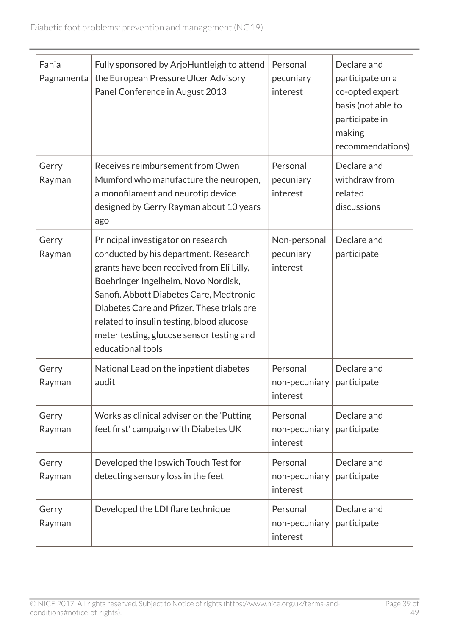| Fania<br>Pagnamenta | Fully sponsored by ArjoHuntleigh to attend<br>the European Pressure Ulcer Advisory<br>Panel Conference in August 2013                                                                                                                                                                                                                                                   | Personal<br>pecuniary<br>interest     | Declare and<br>participate on a<br>co-opted expert<br>basis (not able to<br>participate in<br>making<br>recommendations) |
|---------------------|-------------------------------------------------------------------------------------------------------------------------------------------------------------------------------------------------------------------------------------------------------------------------------------------------------------------------------------------------------------------------|---------------------------------------|--------------------------------------------------------------------------------------------------------------------------|
| Gerry<br>Rayman     | Receives reimbursement from Owen<br>Mumford who manufacture the neuropen,<br>a monofilament and neurotip device<br>designed by Gerry Rayman about 10 years<br>ago                                                                                                                                                                                                       | Personal<br>pecuniary<br>interest     | Declare and<br>withdraw from<br>related<br>discussions                                                                   |
| Gerry<br>Rayman     | Principal investigator on research<br>conducted by his department. Research<br>grants have been received from Eli Lilly,<br>Boehringer Ingelheim, Novo Nordisk,<br>Sanofi, Abbott Diabetes Care, Medtronic<br>Diabetes Care and Pfizer. These trials are<br>related to insulin testing, blood glucose<br>meter testing, glucose sensor testing and<br>educational tools | Non-personal<br>pecuniary<br>interest | Declare and<br>participate                                                                                               |
| Gerry<br>Rayman     | National Lead on the inpatient diabetes<br>audit                                                                                                                                                                                                                                                                                                                        | Personal<br>non-pecuniary<br>interest | Declare and<br>participate                                                                                               |
| Gerry<br>Rayman     | Works as clinical adviser on the 'Putting<br>feet first' campaign with Diabetes UK                                                                                                                                                                                                                                                                                      | Personal<br>non-pecuniary<br>interest | Declare and<br>participate                                                                                               |
| Gerry<br>Rayman     | Developed the Ipswich Touch Test for<br>detecting sensory loss in the feet                                                                                                                                                                                                                                                                                              | Personal<br>non-pecuniary<br>interest | Declare and<br>participate                                                                                               |
| Gerry<br>Rayman     | Developed the LDI flare technique                                                                                                                                                                                                                                                                                                                                       | Personal<br>non-pecuniary<br>interest | Declare and<br>participate                                                                                               |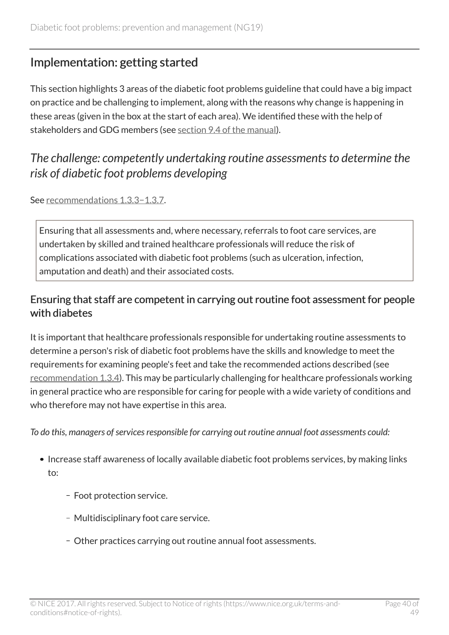# <span id="page-39-0"></span>Implementation: getting started

This section highlights 3 areas of the diabetic foot problems guideline that could have a big impact on practice and be challenging to implement, along with the reasons why change is happening in these areas (given in the box at the start of each area). We identified these with the help of stakeholders and GDG members (see [section 9.4 of the manual\)](https://www.nice.org.uk/article/pmg20/chapter/9-Developing-and-wording-recommendations-and-writing-the-guideline#highlighting-recommendations-for-implementation-support).

# <span id="page-39-1"></span>*The challenge: competently undertaking routine assessments to determine the risk of diabetic foot problems developing*

See [recommendations](http://live-publications.nice.org.uk/recommendations#assessing-the-risk-of-developing-a-diabetic-foot-problem-2) 1.3.3−1.3.7.

Ensuring that all assessments and, where necessary, referrals to foot care services, are undertaken by skilled and trained healthcare professionals will reduce the risk of complications associated with diabetic foot problems (such as ulceration, infection, amputation and death) and their associated costs.

### Ensuring that staff are competent in carrying out routine foot assessment for people with diabetes

It is important that healthcare professionals responsible for undertaking routine assessments to determine a person's risk of diabetic foot problems have the skills and knowledge to meet the requirements for examining people's feet and take the recommended actions described (see [recommendation](http://www.nice.org.uk/guidance/NG19/chapter/1-Recommendations#assessing-the-risk-of-developing-a-diabetic-foot-problem-2) 1.3.4). This may be particularly challenging for healthcare professionals working in general practice who are responsible for caring for people with a wide variety of conditions and who therefore may not have expertise in this area.

*To do this, managers of services responsible for carrying out routine annual foot assessments could:*

- Increase staff awareness of locally available diabetic foot problems services, by making links to:
	- Foot protection service.
	- Multidisciplinary foot care service.
	- Other practices carrying out routine annual foot assessments.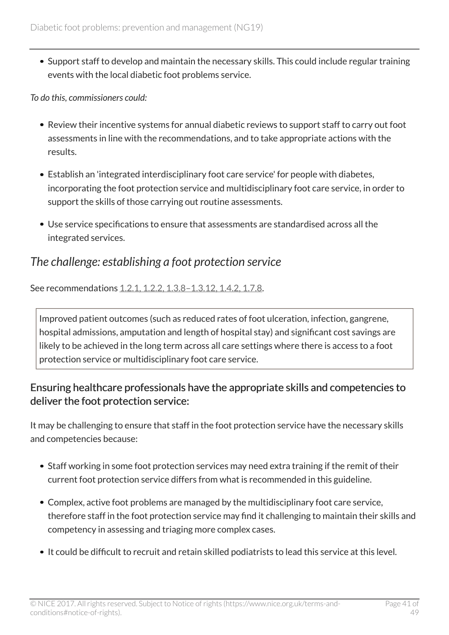Support staff to develop and maintain the necessary skills. This could include regular training events with the local diabetic foot problems service.

*To do this, commissioners could:*

- Review their incentive systems for annual diabetic reviews to support staff to carry out foot assessments in line with the recommendations, and to take appropriate actions with the results.
- Establish an 'integrated interdisciplinary foot care service' for people with diabetes, incorporating the foot protection service and multidisciplinary foot care service, in order to support the skills of those carrying out routine assessments.
- Use service specifications to ensure that assessments are standardised across all the integrated services.

# <span id="page-40-0"></span>*The challenge: establishing a foot protection service*

See recommendations [1.2.1, 1.2.2, 1.3.8–1.3.12, 1.4.2, 1.7.8](http://live-publications.nice.org.uk/recommendations#recommendations).

Improved patient outcomes (such as reduced rates of foot ulceration, infection, gangrene, hospital admissions, amputation and length of hospital stay) and significant cost savings are likely to be achieved in the long term across all care settings where there is access to a foot protection service or multidisciplinary foot care service.

### Ensuring healthcare professionals have the appropriate skills and competencies to deliver the foot protection service:

It may be challenging to ensure that staff in the foot protection service have the necessary skills and competencies because:

- Staff working in some foot protection services may need extra training if the remit of their current foot protection service differs from what is recommended in this guideline.
- Complex, active foot problems are managed by the multidisciplinary foot care service, therefore staff in the foot protection service may find it challenging to maintain their skills and competency in assessing and triaging more complex cases.
- It could be difficult to recruit and retain skilled podiatrists to lead this service at this level.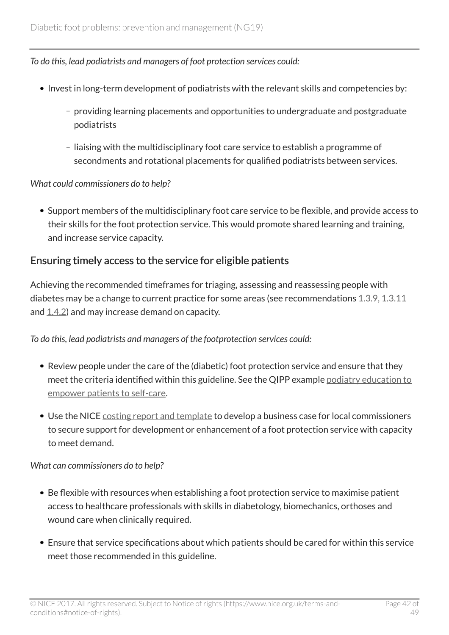*To do this, lead podiatrists and managers of foot protection services could:*

- Invest in long-term development of podiatrists with the relevant skills and competencies by:
	- providing learning placements and opportunities to undergraduate and postgraduate podiatrists
	- liaising with the multidisciplinary foot care service to establish a programme of secondments and rotational placements for qualified podiatrists between services.

#### *What could commissioners do to help?*

Support members of the multidisciplinary foot care service to be flexible, and provide access to their skills for the foot protection service. This would promote shared learning and training, and increase service capacity.

### Ensuring timely access to the service for eligible patients

Achieving the recommended timeframes for triaging, assessing and reassessing people with diabetes may be a change to current practice for some areas (see recommendations  $1.3.9, 1.3.11$ and  $(1.4.2)$  $(1.4.2)$  and may increase demand on capacity.

#### *To do this, lead podiatrists and managers of the footprotection services could:*

- Review people under the care of the (diabetic) foot protection service and ensure that they meet the criteria identified within this guideline. See the QIPP example [podiatry education to](https://www.nice.org.uk/savingsandproductivityandlocalpracticeresource?ci=http%3a%2f%2farms.evidence.nhs.uk%2fresources%2fQIPP%2f959489%2fattachment%3fniceorg%3dtrue) [empower patients to self-care.](https://www.nice.org.uk/savingsandproductivityandlocalpracticeresource?ci=http%3a%2f%2farms.evidence.nhs.uk%2fresources%2fQIPP%2f959489%2fattachment%3fniceorg%3dtrue)
- Use the NICE [costing report and template](http://www.nice.org.uk/guidance/ng19/costing) to develop a business case for local commissioners to secure support for development or enhancement of a foot protection service with capacity to meet demand.

#### *What can commissioners do to help?*

- Be flexible with resources when establishing a foot protection service to maximise patient access to healthcare professionals with skills in diabetology, biomechanics, orthoses and wound care when clinically required.
- Ensure that service specifications about which patients should be cared for within this service meet those recommended in this guideline.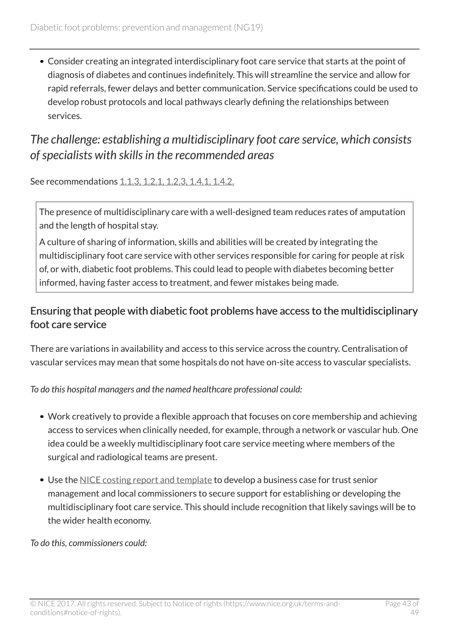Consider creating an integrated interdisciplinary foot care service that starts at the point of diagnosis of diabetes and continues indefinitely. This will streamline the service and allow for rapid referrals, fewer delays and better communication. Service specifications could be used to develop robust protocols and local pathways clearly defining the relationships between services.

# <span id="page-42-0"></span>*The challenge: establishing a multidisciplinary foot care service, which consists of specialists with skills in the recommended areas*

See recommendations [1.1.3, 1.2.1, 1.2.3, 1.4.1, 1.4.2.](http://live-publications.nice.org.uk/recommendations#recommendations)

The presence of multidisciplinary care with a well-designed team reduces rates of amputation and the length of hospital stay.

A culture of sharing of information, skills and abilities will be created by integrating the multidisciplinary foot care service with other services responsible for caring for people at risk of, or with, diabetic foot problems. This could lead to people with diabetes becoming better informed, having faster access to treatment, and fewer mistakes being made.

### Ensuring that people with diabetic foot problems have access to the multidisciplinary foot care service

There are variations in availability and access to this service across the country. Centralisation of vascular services may mean that some hospitals do not have on-site access to vascular specialists.

*To do this hospital managers and the named healthcare professional could:*

- Work creatively to provide a flexible approach that focuses on core membership and achieving access to services when clinically needed, for example, through a network or vascular hub. One idea could be a weekly multidisciplinary foot care service meeting where members of the surgical and radiological teams are present.
- Use the [NICE costing report and template](http://www.nice.org.uk/guidance/ng19/costing) to develop a business case for trust senior management and local commissioners to secure support for establishing or developing the multidisciplinary foot care service. This should include recognition that likely savings will be to the wider health economy.

*To do this, commissioners could:*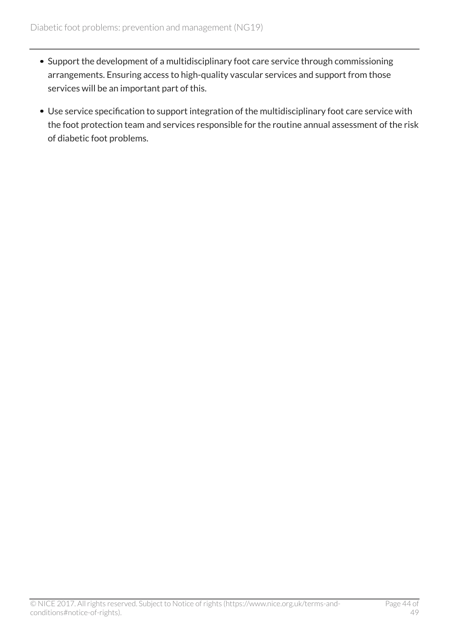- Support the development of a multidisciplinary foot care service through commissioning arrangements. Ensuring access to high-quality vascular services and support from those services will be an important part of this.
- Use service specification to support integration of the multidisciplinary foot care service with the foot protection team and services responsible for the routine annual assessment of the risk of diabetic foot problems.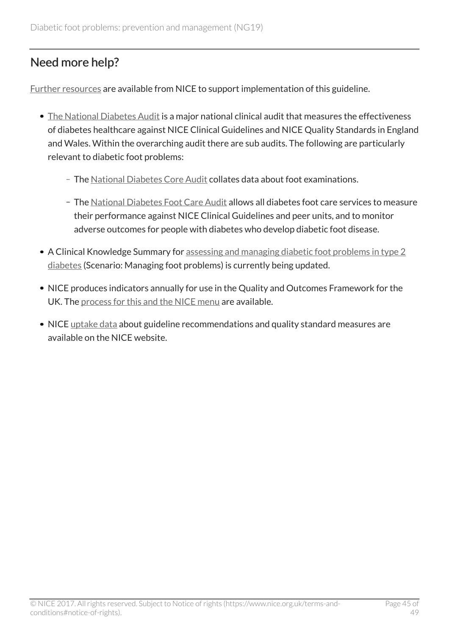# <span id="page-44-0"></span>Need more help?

[Further resources](http://www.nice.org.uk/guidance/ng19/resources) are available from NICE to support implementation of this guideline.

- [The National Diabetes Audit](http://www.diabetes.org.uk/Professionals/Service-improvement/National-Diabetes-Audit/) is a major national clinical audit that measures the effectiveness of diabetes healthcare against NICE Clinical Guidelines and NICE Quality Standards in England and Wales. Within the overarching audit there are sub audits. The following are particularly relevant to diabetic foot problems:
	- The [National Diabetes Core Audit](http://www.hscic.gov.uk/nda) collates data about foot examinations.
	- The [National Diabetes Foot Care Audit](http://www.hscic.gov.uk/footcare) allows all diabetes foot care services to measure their performance against NICE Clinical Guidelines and peer units, and to monitor adverse outcomes for people with diabetes who develop diabetic foot disease.
- A Clinical Knowledge Summary for [assessing and managing diabetic foot problems in type 2](http://cks.nice.org.uk/diabetes-type-2) [diabetes](http://cks.nice.org.uk/diabetes-type-2) (Scenario: Managing foot problems) is currently being updated.
- NICE produces indicators annually for use in the Quality and Outcomes Framework for the UK. The [process for this and the NICE menu](http://www.nice.org.uk/standards-and-indicators/qofindicators) are available.
- NICE [uptake data](http://www.nice.org.uk/uptake) about guideline recommendations and quality standard measures are available on the NICE website.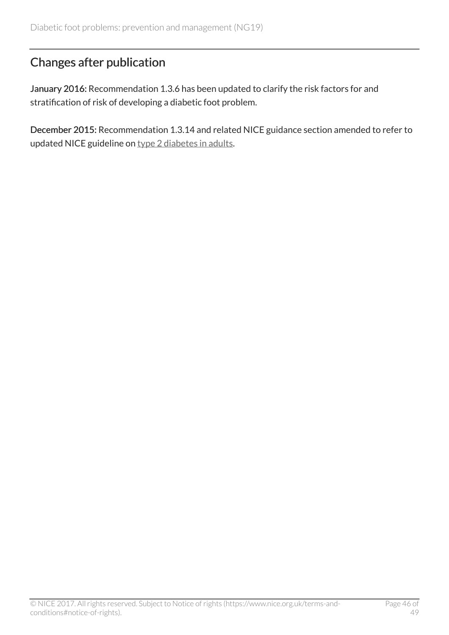# <span id="page-45-0"></span>Changes after publication

January 2016: Recommendation 1.3.6 has been updated to clarify the risk factors for and stratification of risk of developing a diabetic foot problem.

December 2015: Recommendation 1.3.14 and related NICE guidance section amended to refer to updated NICE guideline on [type 2 diabetes in adults.](http://www.nice.org.uk/guidance/ng28)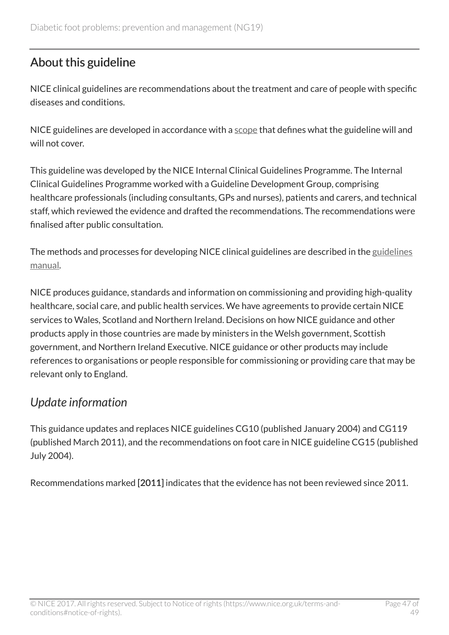# <span id="page-46-0"></span>About this guideline

NICE clinical guidelines are recommendations about the treatment and care of people with specific diseases and conditions.

NICE guidelines are developed in accordance with a [scope](http://www.nice.org.uk/Guidance/ng19/documents) that defines what the guideline will and will not cover.

This guideline was developed by the NICE Internal Clinical Guidelines Programme. The Internal Clinical Guidelines Programme worked with a Guideline Development Group, comprising healthcare professionals (including consultants, GPs and nurses), patients and carers, and technical staff, which reviewed the evidence and drafted the recommendations. The recommendations were finalised after public consultation.

The methods and processes for developing NICE clinical guidelines are described in the [guidelines](http://www.nice.org.uk/article/PMG6/chapter/1%20Introduction) [manual](http://www.nice.org.uk/article/PMG6/chapter/1%20Introduction).

NICE produces guidance, standards and information on commissioning and providing high-quality healthcare, social care, and public health services. We have agreements to provide certain NICE services to Wales, Scotland and Northern Ireland. Decisions on how NICE guidance and other products apply in those countries are made by ministers in the Welsh government, Scottish government, and Northern Ireland Executive. NICE guidance or other products may include references to organisations or people responsible for commissioning or providing care that may be relevant only to England.

# <span id="page-46-1"></span>*Update information*

This guidance updates and replaces NICE guidelines CG10 (published January 2004) and CG119 (published March 2011), and the recommendations on foot care in NICE guideline CG15 (published July 2004).

Recommendations marked [2011] indicates that the evidence has not been reviewed since 2011.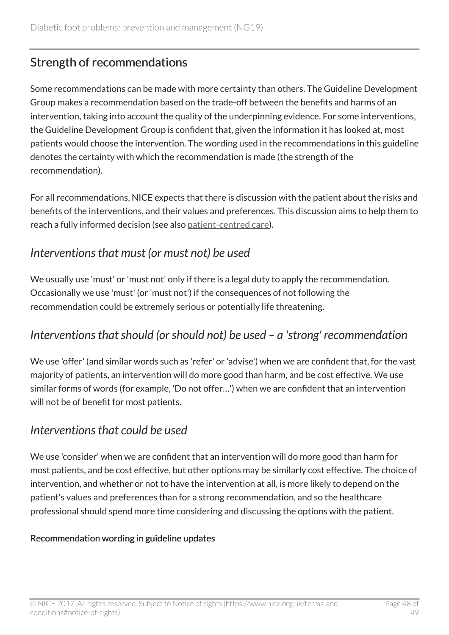# <span id="page-47-0"></span>Strength of recommendations

Some recommendations can be made with more certainty than others. The Guideline Development Group makes a recommendation based on the trade-off between the benefits and harms of an intervention, taking into account the quality of the underpinning evidence. For some interventions, the Guideline Development Group is confident that, given the information it has looked at, most patients would choose the intervention. The wording used in the recommendations in this guideline denotes the certainty with which the recommendation is made (the strength of the recommendation).

For all recommendations, NICE expects that there is discussion with the patient about the risks and benefits of the interventions, and their values and preferences. This discussion aims to help them to reach a fully informed decision (see also [patient-centred care](http://live-publications.nice.org.uk/patientcentred-care#patientcentred-care)).

### <span id="page-47-1"></span>*Interventions that must (or must not) be used*

We usually use 'must' or 'must not' only if there is a legal duty to apply the recommendation. Occasionally we use 'must' (or 'must not') if the consequences of not following the recommendation could be extremely serious or potentially life threatening.

# <span id="page-47-2"></span>*Interventions that should (or should not) be used – a 'strong' recommendation*

We use 'offer' (and similar words such as 'refer' or 'advise') when we are confident that, for the vast majority of patients, an intervention will do more good than harm, and be cost effective. We use similar forms of words (for example, 'Do not offer…') when we are confident that an intervention will not be of benefit for most patients.

### <span id="page-47-3"></span>*Interventions that could be used*

We use 'consider' when we are confident that an intervention will do more good than harm for most patients, and be cost effective, but other options may be similarly cost effective. The choice of intervention, and whether or not to have the intervention at all, is more likely to depend on the patient's values and preferences than for a strong recommendation, and so the healthcare professional should spend more time considering and discussing the options with the patient.

#### Recommendation wording in guideline updates